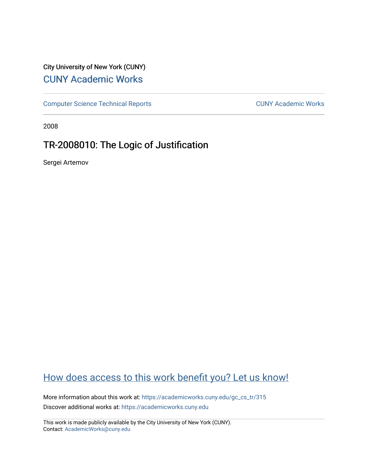## City University of New York (CUNY) [CUNY Academic Works](https://academicworks.cuny.edu/)

[Computer Science Technical Reports](https://academicworks.cuny.edu/gc_cs_tr) **CUNY Academic Works** CUNY Academic Works

2008

## TR-2008010: The Logic of Justification

Sergei Artemov

# [How does access to this work benefit you? Let us know!](http://ols.cuny.edu/academicworks/?ref=https://academicworks.cuny.edu/gc_cs_tr/315)

More information about this work at: https://academicworks.cuny.edu/gc\_cs\_tr/315 Discover additional works at: [https://academicworks.cuny.edu](https://academicworks.cuny.edu/?)

This work is made publicly available by the City University of New York (CUNY). Contact: [AcademicWorks@cuny.edu](mailto:AcademicWorks@cuny.edu)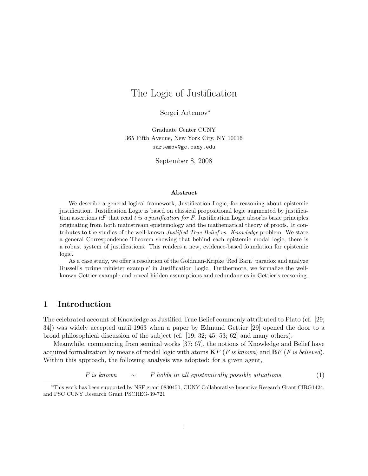## The Logic of Justification

Sergei Artemov<sup>∗</sup>

Graduate Center CUNY 365 Fifth Avenue, New York City, NY 10016 sartemov@gc.cuny.edu

September 8, 2008

#### Abstract

We describe a general logical framework, Justification Logic, for reasoning about epistemic justification. Justification Logic is based on classical propositional logic augmented by justification assertions  $t$ :F that read t is a justification for F. Justification Logic absorbs basic principles originating from both mainstream epistemology and the mathematical theory of proofs. It contributes to the studies of the well-known *Justified True Belief vs. Knowledge* problem. We state a general Correspondence Theorem showing that behind each epistemic modal logic, there is a robust system of justifications. This renders a new, evidence-based foundation for epistemic logic.

As a case study, we offer a resolution of the Goldman-Kripke 'Red Barn' paradox and analyze Russell's 'prime minister example' in Justification Logic. Furthermore, we formalize the wellknown Gettier example and reveal hidden assumptions and redundancies in Gettier's reasoning.

## 1 Introduction

The celebrated account of Knowledge as Justified True Belief commonly attributed to Plato (cf. [29; 34]) was widely accepted until 1963 when a paper by Edmund Gettier [29] opened the door to a broad philosophical discussion of the subject (cf. [19; 32; 45; 53; 62] and many others).

Meanwhile, commencing from seminal works [37; 67], the notions of Knowledge and Belief have acquired formalization by means of modal logic with atoms  $\boldsymbol{K}F$  (*F is known*) and  $\boldsymbol{B}F$  (*F is believed*). Within this approach, the following analysis was adopted: for a given agent,

 $F$  is known  $\sim$  F holds in all epistemically possible situations. (1)

<sup>∗</sup>This work has been supported by NSF grant 0830450, CUNY Collaborative Incentive Research Grant CIRG1424, and PSC CUNY Research Grant PSCREG-39-721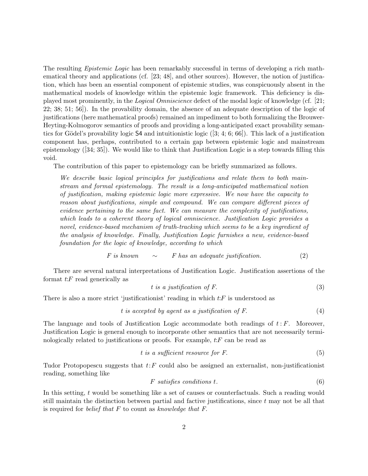The resulting *Epistemic Logic* has been remarkably successful in terms of developing a rich mathematical theory and applications (cf. [23; 48], and other sources). However, the notion of justification, which has been an essential component of epistemic studies, was conspicuously absent in the mathematical models of knowledge within the epistemic logic framework. This deficiency is displayed most prominently, in the Logical Omniscience defect of the modal logic of knowledge (cf. [21; 22; 38; 51; 56]). In the provability domain, the absence of an adequate description of the logic of justifications (here mathematical proofs) remained an impediment to both formalizing the Brouwer-Heyting-Kolmogorov semantics of proofs and providing a long-anticipated exact provability semantics for Gödel's provability logic  $\mathsf{S}4$  and intuitionistic logic ([3; 4; 6; 66]). This lack of a justification component has, perhaps, contributed to a certain gap between epistemic logic and mainstream epistemology ([34; 35]). We would like to think that Justification Logic is a step towards filling this void.

The contribution of this paper to epistemology can be briefly summarized as follows.

We describe basic logical principles for justifications and relate them to both mainstream and formal epistemology. The result is a long-anticipated mathematical notion of justification, making epistemic logic more expressive. We now have the capacity to reason about justifications, simple and compound. We can compare different pieces of evidence pertaining to the same fact. We can measure the complexity of justifications, which leads to a coherent theory of logical omniscience. Justification Logic provides a novel, evidence-based mechanism of truth-tracking which seems to be a key ingredient of the analysis of knowledge. Finally, Justification Logic furnishes a new, evidence-based foundation for the logic of knowledge, according to which

$$
F \text{ is known} \qquad \sim \qquad F \text{ has an adequate justification.} \tag{2}
$$

There are several natural interpretations of Justification Logic. Justification assertions of the format  $t$ :  $F$  read generically as

$$
t \text{ is a justification of } F. \tag{3}
$$

There is also a more strict 'justificationist' reading in which  $t$ :  $F$  is understood as

$$
t \text{ is accepted by agent as a justification of } F. \tag{4}
$$

The language and tools of Justification Logic accommodate both readings of  $t : F$ . Moreover, Justification Logic is general enough to incorporate other semantics that are not necessarily terminologically related to justifications or proofs. For example,  $t$ : F can be read as

$$
t \text{ is a sufficient resource for } F. \tag{5}
$$

Tudor Protopopescu suggests that  $t$ : F could also be assigned an externalist, non-justificationist reading, something like

$$
F \ satisfies \ conditions \ t. \tag{6}
$$

In this setting, t would be something like a set of causes or counterfactuals. Such a reading would still maintain the distinction between partial and factive justifications, since  $t$  may not be all that is required for belief that F to count as knowledge that F.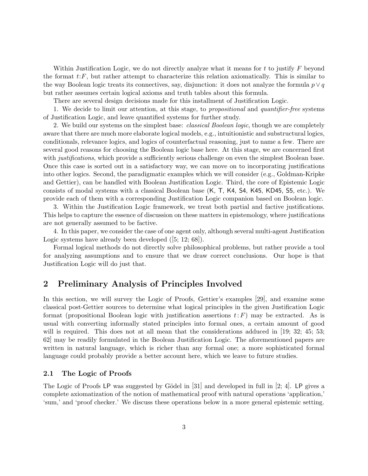Within Justification Logic, we do not directly analyze what it means for  $t$  to justify  $F$  beyond the format  $t$ : $F$ , but rather attempt to characterize this relation axiomatically. This is similar to the way Boolean logic treats its connectives, say, disjunction: it does not analyze the formula  $p \vee q$ but rather assumes certain logical axioms and truth tables about this formula.

There are several design decisions made for this installment of Justification Logic.

1. We decide to limit our attention, at this stage, to *propositional* and *quantifier-free* systems of Justification Logic, and leave quantified systems for further study.

2. We build our systems on the simplest base: *classical Boolean logic*, though we are completely aware that there are much more elaborate logical models, e.g., intuitionistic and substructural logics, conditionals, relevance logics, and logics of counterfactual reasoning, just to name a few. There are several good reasons for choosing the Boolean logic base here. At this stage, we are concerned first with justifications, which provide a sufficiently serious challenge on even the simplest Boolean base. Once this case is sorted out in a satisfactory way, we can move on to incorporating justifications into other logics. Second, the paradigmatic examples which we will consider (e.g., Goldman-Kripke and Gettier), can be handled with Boolean Justification Logic. Third, the core of Epistemic Logic consists of modal systems with a classical Boolean base (K, T, K4, S4, K45, KD45, S5, etc.). We provide each of them with a corresponding Justification Logic companion based on Boolean logic.

3. Within the Justification Logic framework, we treat both partial and factive justifications. This helps to capture the essence of discussion on these matters in epistemology, where justifications are not generally assumed to be factive.

4. In this paper, we consider the case of one agent only, although several multi-agent Justification Logic systems have already been developed  $([5; 12; 68])$ .

Formal logical methods do not directly solve philosophical problems, but rather provide a tool for analyzing assumptions and to ensure that we draw correct conclusions. Our hope is that Justification Logic will do just that.

## 2 Preliminary Analysis of Principles Involved

In this section, we will survey the Logic of Proofs, Gettier's examples [29], and examine some classical post-Gettier sources to determine what logical principles in the given Justification Logic format (propositional Boolean logic with justification assertions  $t$ : F) may be extracted. As is usual with converting informally stated principles into formal ones, a certain amount of good will is required. This does not at all mean that the considerations adduced in [19; 32; 45; 53; 62] may be readily formulated in the Boolean Justification Logic. The aforementioned papers are written in natural language, which is richer than any formal one; a more sophisticated formal language could probably provide a better account here, which we leave to future studies.

### 2.1 The Logic of Proofs

The Logic of Proofs LP was suggested by Gödel in [31] and developed in full in [2; 4]. LP gives a complete axiomatization of the notion of mathematical proof with natural operations 'application,' 'sum,' and 'proof checker.' We discuss these operations below in a more general epistemic setting.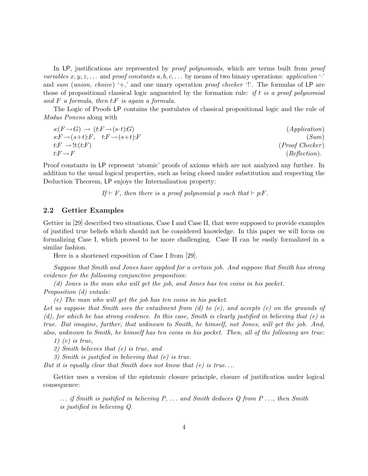In LP, justifications are represented by *proof polynomials*, which are terms built from *proof* variables  $x, y, z, \ldots$  and proof constants  $a, b, c, \ldots$  by means of two binary operations: application  $\cdots$ and sum (union, choice)  $^{\circ}$  +,' and one unary operation proof checker  $^{\circ}$ !'. The formulas of LP are those of propositional classical logic augmented by the formation rule: if t is a proof polynomial and  $F$  a formula, then  $t$ :  $F$  is again a formula.

The Logic of Proofs LP contains the postulates of classical propositional logic and the rule of Modus Ponens along with

| $s(F \rightarrow G) \rightarrow (t: F \rightarrow (s \cdot t):G)$ | (Application)        |
|-------------------------------------------------------------------|----------------------|
| $s:F \rightarrow (s+t):F, \quad t:F \rightarrow (s+t):F$          | (Sum)                |
| $t:F \rightarrow !t:(t:F)$                                        | $(Proof \; Checker)$ |
| $t: F \to F$                                                      | (Reflection).        |

Proof constants in LP represent 'atomic' proofs of axioms which are not analyzed any further. In addition to the usual logical properties, such as being closed under substitution and respecting the Deduction Theorem, LP enjoys the Internalization property:

If  $\vdash$  F, then there is a proof polynomial p such that  $\vdash$  p:F.

#### 2.2 Gettier Examples

Gettier in [29] described two situations, Case I and Case II, that were supposed to provide examples of justified true beliefs which should not be considered knowledge. In this paper we will focus on formalizing Case I, which proved to be more challenging. Case II can be easily formalized in a similar fashion.

Here is a shortened exposition of Case I from [29].

Suppose that Smith and Jones have applied for a certain job. And suppose that Smith has strong evidence for the following conjunctive proposition:

(d) Jones is the man who will get the job, and Jones has ten coins in his pocket. Proposition (d) entails:

(e) The man who will get the job has ten coins in his pocket.

Let us suppose that Smith sees the entailment from  $(d)$  to  $(e)$ , and accepts  $(e)$  on the grounds of (d), for which he has strong evidence. In this case, Smith is clearly justified in believing that (e) is true. But imagine, further, that unknown to Smith, he himself, not Jones, will get the job. And, also, unknown to Smith, he himself has ten coins in his pocket. Then, all of the following are true:

1) (e) is true,

2) Smith believes that (e) is true, and

3) Smith is justified in believing that (e) is true.

But it is equally clear that Smith does not know that  $(e)$  is true....

Gettier uses a version of the epistemic closure principle, closure of justification under logical consequence:

 $\ldots$  if Smith is justified in believing P,  $\ldots$  and Smith deduces Q from P  $\ldots$ , then Smith is justified in believing Q.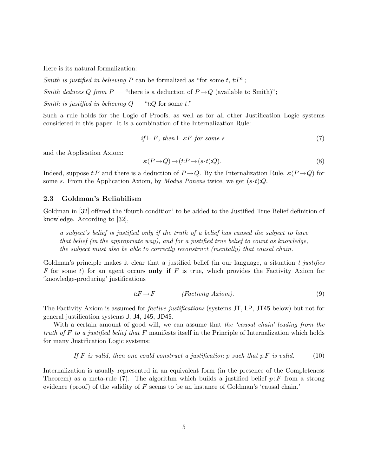Here is its natural formalization:

Smith is justified in believing P can be formalized as "for some t,  $t: P$ ";

Smith deduces Q from  $P$  — "there is a deduction of  $P \rightarrow Q$  (available to Smith)";

Smith is justified in believing  $Q - "t:Q$  for some t."

Such a rule holds for the Logic of Proofs, as well as for all other Justification Logic systems considered in this paper. It is a combination of the Internalization Rule:

$$
if \vdash F, \ then \vdash s \cdot F \ for \ some \ s \tag{7}
$$

and the Application Axiom:

$$
s: (P \to Q) \to (t: P \to (s \cdot t): Q). \tag{8}
$$

Indeed, suppose t:P and there is a deduction of  $P \rightarrow Q$ . By the Internalization Rule,  $s:(P \rightarrow Q)$  for some s. From the Application Axiom, by Modus Ponens twice, we get  $(s \cdot t):Q$ .

## 2.3 Goldman's Reliabilism

Goldman in [32] offered the 'fourth condition' to be added to the Justified True Belief definition of knowledge. According to [32],

a subject's belief is justified only if the truth of a belief has caused the subject to have that belief (in the appropriate way), and for a justified true belief to count as knowledge, the subject must also be able to correctly reconstruct (mentally) that causal chain.

Goldman's principle makes it clear that a justified belief (in our language, a situation  $t$  justifies F for some t) for an agent occurs only if F is true, which provides the Factivity Axiom for 'knowledge-producing' justifications

$$
t: F \to F \qquad \qquad (Factivity \ Axiom). \tag{9}
$$

The Factivity Axiom is assumed for *factive justifications* (systems JT, LP, JT45 below) but not for general justification systems J, J4, J45, JD45.

With a certain amount of good will, we can assume that the 'causal chain' leading from the truth of F to a justified belief that F manifests itself in the Principle of Internalization which holds for many Justification Logic systems:

If F is valid, then one could construct a justification p such that 
$$
p \cdot F
$$
 is valid. (10)

Internalization is usually represented in an equivalent form (in the presence of the Completeness Theorem) as a meta-rule (7). The algorithm which builds a justified belief  $p: F$  from a strong evidence (proof) of the validity of  $F$  seems to be an instance of Goldman's 'causal chain.'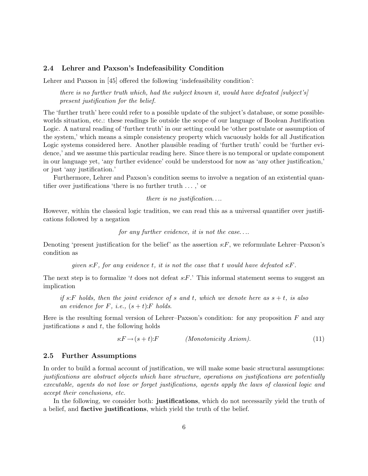#### 2.4 Lehrer and Paxson's Indefeasibility Condition

Lehrer and Paxson in [45] offered the following 'indefeasibility condition':

there is no further truth which, had the subject known it, would have defeated [subject's] present justification for the belief.

The 'further truth' here could refer to a possible update of the subject's database, or some possibleworlds situation, etc.: these readings lie outside the scope of our language of Boolean Justification Logic. A natural reading of 'further truth' in our setting could be 'other postulate or assumption of the system,' which means a simple consistency property which vacuously holds for all Justification Logic systems considered here. Another plausible reading of 'further truth' could be 'further evidence,' and we assume this particular reading here. Since there is no temporal or update component in our language yet, 'any further evidence' could be understood for now as 'any other justification,' or just 'any justification.'

Furthermore, Lehrer and Paxson's condition seems to involve a negation of an existential quantifier over justifications 'there is no further truth . . . ,' or

#### there is no justification....

However, within the classical logic tradition, we can read this as a universal quantifier over justifications followed by a negation

for any further evidence, it is not the case. . ..

Denoting 'present justification for the belief' as the assertion  $s:F$ , we reformulate Lehrer–Paxson's condition as

given s:F, for any evidence t, it is not the case that t would have defeated s:F.

The next step is to formalize 't does not defeat  $s.F.'$ . This informal statement seems to suggest an implication

if s: F holds, then the joint evidence of s and t, which we denote here as  $s + t$ , is also an evidence for F, i.e.,  $(s + t)$ : F holds.

Here is the resulting formal version of Lehrer–Paxson's condition: for any proposition  $F$  and any justifications  $s$  and  $t$ , the following holds

 $s: F \to (s + t): F$  (Monotonicity Axiom). (11)

#### 2.5 Further Assumptions

In order to build a formal account of justification, we will make some basic structural assumptions: justifications are abstract objects which have structure, operations on justifications are potentially executable, agents do not lose or forget justifications, agents apply the laws of classical logic and accept their conclusions, etc.

In the following, we consider both: **justifications**, which do not necessarily yield the truth of a belief, and factive justifications, which yield the truth of the belief.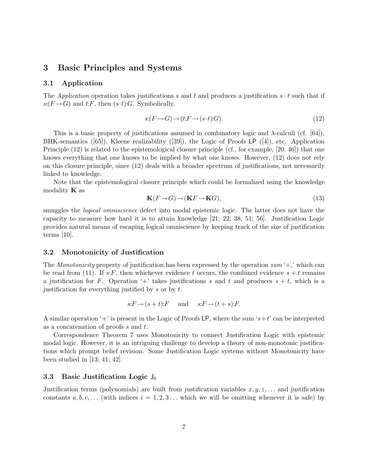## 3 Basic Principles and Systems

#### 3.1 Application

The *Application* operation takes justifications s and t and produces a justification  $s \cdot t$  such that if  $s:(F \rightarrow G)$  and  $t:F$ , then  $(s \cdot t):G$ . Symbolically,

$$
s: (F \to G) \to (t: F \to (s \cdot t): G). \tag{12}
$$

This is a basic property of justifications assumed in combinatory logic and  $\lambda$ -calculi (cf. [64]), BHK-semantics  $(65)$ , Kleene realizability  $(39)$ , the Logic of Proofs LP  $(4)$ , etc. Application Principle (12) is related to the epistemological closure principle (cf., for example, [20; 46]) that one knows everything that one knows to be implied by what one knows. However, (12) does not rely on this closure principle, since (12) deals with a broader spectrum of justifications, not necessarily linked to knowledge.

Note that the epistemological closure principle which could be formalized using the knowledge modality  $\bf{K}$  as

$$
\mathbf{K}(F \to G) \to (\mathbf{K}F \to \mathbf{K}G),\tag{13}
$$

smuggles the *logical omniscience* defect into modal epistemic logic. The latter does not have the capacity to measure how hard it is to attain knowledge [21; 22; 38; 51; 56]. Justification Logic provides natural means of escaping logical omniscience by keeping track of the size of justification terms [10].

#### 3.2 Monotonicity of Justification

The *Monotonicity* property of justification has been expressed by the operation sum  $^{\prime}$ +, which can be read from (11). If  $s$ : F, then whichever evidence t occurs, the combined evidence  $s + t$  remains a justification for F. Operation '+' takes justifications s and t and produces  $s + t$ , which is a justification for everything justified by s or by  $t$ .

$$
s: F \to (s+t): F
$$
 and  $s: F \to (t+s): F$ .

A similar operation '+' is present in the Logic of Proofs LP, where the sum ' $s+t$ ' can be interpreted as a concatenation of proofs s and t.

Correspondence Theorem 7 uses Monotonicity to connect Justification Logic with epistemic modal logic. However, it is an intriguing challenge to develop a theory of non-monotonic justifications which prompt belief revision. Some Justification Logic systems without Monotonicity have been studied in [13; 41; 42].

#### 3.3 Basic Justification Logic  $J_0$

Justification terms (polynomials) are built from justification variables  $x, y, z, \ldots$  and justification constants  $a, b, c, \ldots$  (with indices  $i = 1, 2, 3, \ldots$  which we will be omitting whenever it is safe) by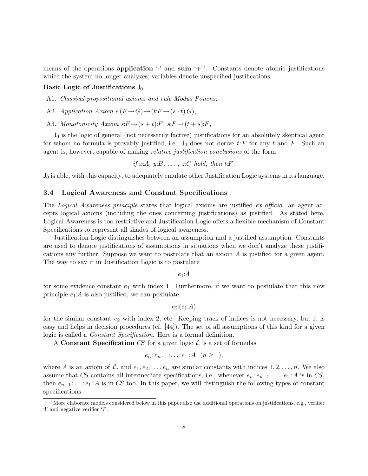means of the operations **application**  $\cdot$  and sum  $\cdot$  +  $\cdot$  1. Constants denote atomic justifications which the system no longer analyzes; variables denote unspecified justifications.

#### Basic Logic of Justifications  $J_0$ :

- A1. Classical propositional axioms and rule Modus Ponens,
- A2. Application Axiom  $s:(F \to G) \to (t:F \to (s \cdot t):G),$
- A3. Monotonicity Axiom  $s: F \to (s + t): F$ ,  $s: F \to (t + s): F$ ,

 $J_0$  is the logic of general (not necessarily factive) justifications for an absolutely skeptical agent for whom no formula is provably justified, i.e.,  $J_0$  does not derive t: F for any t and F. Such an agent is, however, capable of making relative justification conclusions of the form

if 
$$
x:A
$$
,  $y:B$ , ...,  $z:C$  hold, then  $t:F$ .

 $J_0$  is able, with this capacity, to adequately emulate other Justification Logic systems in its language.

#### 3.4 Logical Awareness and Constant Specifications

The Logical Awareness principle states that logical axioms are justified ex officio: an agent accepts logical axioms (including the ones concerning justifications) as justified. As stated here, Logical Awareness is too restrictive and Justification Logic offers a flexible mechanism of Constant Specifications to represent all shades of logical awareness.

Justification Logic distinguishes between an assumption and a justified assumption. Constants are used to denote justifications of assumptions in situations when we don't analyze these justifications any further. Suppose we want to postulate that an axiom A is justified for a given agent. The way to say it in Justification Logic is to postulate

 $e_1$ : $A$ 

for some evidence constant  $e_1$  with index 1. Furthermore, if we want to postulate that this new principle  $e_1$ : A is also justified, we can postulate

 $e_2$ : $(e_1: A)$ 

for the similar constant  $e_2$  with index 2, etc. Keeping track of indices is not necessary, but it is easy and helps in decision procedures (cf. [44]). The set of all assumptions of this kind for a given logic is called a Constant Specification. Here is a formal definition.

A Constant Specification CS for a given logic  $\mathcal L$  is a set of formulas

$$
e_n : e_{n-1} : \ldots : e_1 : A \quad (n \geq 1),
$$

where A is an axiom of L, and  $e_1, e_2, \ldots, e_n$  are similar constants with indices  $1, 2, \ldots, n$ . We also assume that CS contains all intermediate specifications, i.e., whenever  $e_n : e_{n-1} : \ldots : e_1 : A$  is in CS, then  $e_{n-1}$ :...: $e_1$ :A is in CS too. In this paper, we will distinguish the following types of constant specifications:

<sup>&</sup>lt;sup>1</sup>More elaborate models considered below in this paper also use additional operations on justifications, e.g., verifier '!' and negative verifier '?'.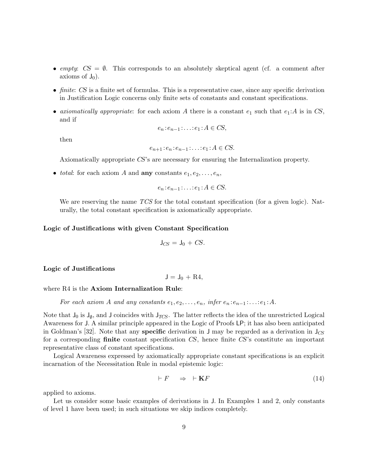- empty:  $CS = \emptyset$ . This corresponds to an absolutely skeptical agent (cf. a comment after axioms of  $J_0$ ).
- $\bullet$  finite: CS is a finite set of formulas. This is a representative case, since any specific derivation in Justification Logic concerns only finite sets of constants and constant specifications.
- axiomatically appropriate: for each axiom A there is a constant  $e_1$  such that  $e_1$ :A is in CS, and if

$$
e_n : e_{n-1} : \ldots : e_1 : A \in CS,
$$

then

$$
e_{n+1}:e_n:e_{n-1}:\ldots:e_1:A\in CS.
$$

Axiomatically appropriate CS's are necessary for ensuring the Internalization property.

• total: for each axiom A and any constants  $e_1, e_2, \ldots, e_n$ ,

$$
e_n \colon e_{n-1} \colon \ldots \colon e_1 \colon A \in CS.
$$

We are reserving the name TCS for the total constant specification (for a given logic). Naturally, the total constant specification is axiomatically appropriate.

#### Logic of Justifications with given Constant Specification

$$
\mathsf{J}_{CS}=\mathsf{J}_0+\mathit{CS}.
$$

Logic of Justifications

 $J = J_0 + R4$ ,

where R4 is the **Axiom Internalization Rule**:

For each axiom A and any constants  $e_1, e_2, \ldots, e_n$ , infer  $e_n : e_{n-1} : \ldots : e_1 : A$ .

Note that  $J_0$  is  $J_{\emptyset}$ , and J coincides with  $J_{TCS}$ . The latter reflects the idea of the unrestricted Logical Awareness for J. A similar principle appeared in the Logic of Proofs LP; it has also been anticipated in Goldman's [32]. Note that any **specific** derivation in  $J$  may be regarded as a derivation in  $J_{CS}$ for a corresponding finite constant specification CS, hence finite CS's constitute an important representative class of constant specifications.

Logical Awareness expressed by axiomatically appropriate constant specifications is an explicit incarnation of the Necessitation Rule in modal epistemic logic:

$$
\vdash F \quad \Rightarrow \quad \vdash \mathbf{K}F \tag{14}
$$

applied to axioms.

Let us consider some basic examples of derivations in J. In Examples 1 and 2, only constants of level 1 have been used; in such situations we skip indices completely.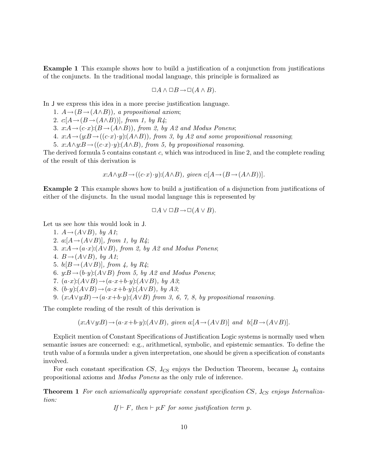Example 1 This example shows how to build a justification of a conjunction from justifications of the conjuncts. In the traditional modal language, this principle is formalized as

$$
\Box A \land \Box B \rightarrow \Box (A \land B).
$$

In J we express this idea in a more precise justification language.

1.  $A \rightarrow (B \rightarrow (A \land B))$ , a propositional axiom;

2.  $c: [A \rightarrow (B \rightarrow (A \land B))]$ , from 1, by R4;

3.  $x:A \rightarrow (c \cdot x):(B \rightarrow (A \wedge B))$ , from 2, by A2 and Modus Ponens;

4.  $x:A \rightarrow (y:B \rightarrow ((c \cdot x) \cdot y):(A \wedge B))$ , from 3, by A2 and some propositional reasoning;

5.  $x:A \wedge y:B \rightarrow ((c \cdot x) \cdot y):(A \wedge B)$ , from 5, by propositional reasoning.

The derived formula 5 contains constant  $c$ , which was introduced in line 2, and the complete reading of the result of this derivation is

$$
x:A \wedge y:B \rightarrow ((c \cdot x) \cdot y):(A \wedge B), \text{ given } c[A \rightarrow (B \rightarrow (A \wedge B))].
$$

Example 2 This example shows how to build a justification of a disjunction from justifications of either of the disjuncts. In the usual modal language this is represented by

$$
\Box A \vee \Box B \rightarrow \Box (A \vee B).
$$

Let us see how this would look in J.

1.  $A \rightarrow (A \lor B)$ , by A1; 2.  $a:[A \rightarrow (A \vee B)]$ , from 1, by R4; 3.  $x:A \rightarrow (a \cdot x):(A \vee B)$ , from 2, by A2 and Modus Ponens; 4.  $B \rightarrow (A \lor B)$ , by A1; 5. b: $[B\rightarrow (A\vee B)]$ , from 4, by R4; 6. y:B→(b·y):( $A \vee B$ ) from 5, by A2 and Modus Ponens; 7.  $(a \cdot x):(A \vee B) \rightarrow (a \cdot x+b \cdot y):(A \vee B)$ , by A3; 8.  $(b \cdot y):(A \vee B) \rightarrow (a \cdot x + b \cdot y):(A \vee B)$ , by A3; 9.  $(x:A\vee y:B)\rightarrow (a\cdot x+b\cdot y):(A\vee B)$  from 3, 6, 7, 8, by propositional reasoning.

The complete reading of the result of this derivation is

 $(x:A\vee y:B)\rightarrow (a\cdot x+b\cdot y):(A\vee B),$  given  $a:[A\rightarrow (A\vee B)]$  and  $b:[B\rightarrow (A\vee B)].$ 

Explicit mention of Constant Specifications of Justification Logic systems is normally used when semantic issues are concerned: e.g., arithmetical, symbolic, and epistemic semantics. To define the truth value of a formula under a given interpretation, one should be given a specification of constants involved.

For each constant specification  $CS$ ,  $J_{CS}$  enjoys the Deduction Theorem, because  $J_0$  contains propositional axioms and Modus Ponens as the only rule of inference.

**Theorem 1** For each axiomatically appropriate constant specification CS,  $J_{CS}$  enjoys Internalization:

If  $\vdash$  F, then  $\vdash$  p: F for some justification term p.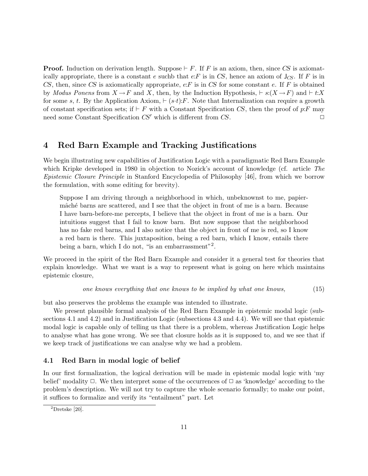**Proof.** Induction on derivation length. Suppose  $\vdash F$ . If F is an axiom, then, since CS is axiomatically appropriate, there is a constant e such that e:F is in CS, hence an axiom of  $J_{CS}$ . If F is in CS, then, since CS is axiomatically appropriate,  $e: F$  is in CS for some constant e. If F is obtained by Modus Ponens from  $X \to F$  and X, then, by the Induction Hypothesis,  $\vdash s:(X \to F)$  and  $\vdash t:X$ for some s, t. By the Application Axiom,  $\vdash (s \cdot t) \cdot F$ . Note that Internalization can require a growth of constant specification sets; if  $\vdash F$  with a Constant Specification CS, then the proof of p:F may need some Constant Specification  $CS'$  which is different from  $CS$ .

## 4 Red Barn Example and Tracking Justifications

We begin illustrating new capabilities of Justification Logic with a paradigmatic Red Barn Example which Kripke developed in 1980 in objection to Nozick's account of knowledge (cf. article The Epistemic Closure Principle in Stanford Encyclopedia of Philosophy [46], from which we borrow the formulation, with some editing for brevity).

Suppose I am driving through a neighborhood in which, unbeknownst to me, papiermâché barns are scattered, and I see that the object in front of me is a barn. Because I have barn-before-me percepts, I believe that the object in front of me is a barn. Our intuitions suggest that I fail to know barn. But now suppose that the neighborhood has no fake red barns, and I also notice that the object in front of me is red, so I know a red barn is there. This juxtaposition, being a red barn, which I know, entails there being a barn, which I do not, "is an embarrassment"<sup>2</sup>.

We proceed in the spirit of the Red Barn Example and consider it a general test for theories that explain knowledge. What we want is a way to represent what is going on here which maintains epistemic closure,

one knows everything that one knows to be implied by what one knows,  $(15)$ 

but also preserves the problems the example was intended to illustrate.

We present plausible formal analysis of the Red Barn Example in epistemic modal logic (subsections 4.1 and 4.2) and in Justification Logic (subsections 4.3 and 4.4). We will see that epistemic modal logic is capable only of telling us that there is a problem, whereas Justification Logic helps to analyse what has gone wrong. We see that closure holds as it is supposed to, and we see that if we keep track of justifications we can analyse why we had a problem.

#### 4.1 Red Barn in modal logic of belief

In our first formalization, the logical derivation will be made in epistemic modal logic with 'my belief' modality  $\Box$ . We then interpret some of the occurrences of  $\Box$  as 'knowledge' according to the problem's description. We will not try to capture the whole scenario formally; to make our point, it suffices to formalize and verify its "entailment" part. Let

 ${}^{2}$ Dretske [20].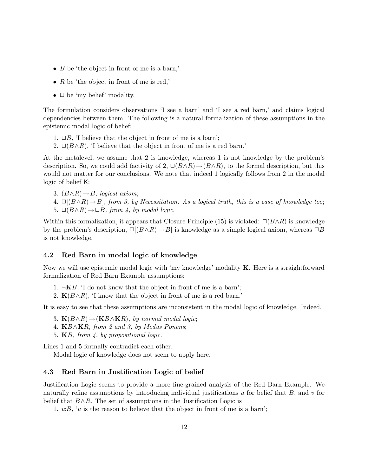- B be 'the object in front of me is a barn,'
- $R$  be 'the object in front of me is red,'
- $\Box$  be 'my belief' modality.

The formulation considers observations 'I see a barn' and 'I see a red barn,' and claims logical dependencies between them. The following is a natural formalization of these assumptions in the epistemic modal logic of belief:

- 1.  $\Box B$ , 'I believe that the object in front of me is a barn';
- 2.  $\Box(B\land R)$ , 'I believe that the object in front of me is a red barn.'

At the metalevel, we assume that 2 is knowledge, whereas 1 is not knowledge by the problem's description. So, we could add factivity of 2,  $\Box(B\land R)\rightarrow(B\land R)$ , to the formal description, but this would not matter for our conclusions. We note that indeed 1 logically follows from 2 in the modal logic of belief K:

3.  $(B \wedge R) \rightarrow B$ , logical axiom;

4.  $\Box[(B\land R)\rightarrow B]$ , from 3, by Necessitation. As a logical truth, this is a case of knowledge too; 5.  $\Box(B \land R) \rightarrow \Box B$ , from 4, by modal logic.

Within this formalization, it appears that Closure Principle (15) is violated:  $\Box(B \land R)$  is knowledge by the problem's description,  $\square[(B \wedge R) \rightarrow B]$  is knowledge as a simple logical axiom, whereas  $\square B$ is not knowledge.

#### 4.2 Red Barn in modal logic of knowledge

Now we will use epistemic modal logic with 'my knowledge' modality  $\bf{K}$ . Here is a straightforward formalization of Red Barn Example assumptions:

- 1.  $\neg$ **K** $B$ , 'I do not know that the object in front of me is a barn';
- 2.  $K(B \wedge R)$ , 'I know that the object in front of me is a red barn.'

It is easy to see that these assumptions are inconsistent in the modal logic of knowledge. Indeed,

- 3.  $K(B \wedge R) \rightarrow (KB \wedge KR)$ , by normal modal logic;
- 4. KB∧KR, from 2 and 3, by Modus Ponens;
- 5. KB, from 4, by propositional logic.

Lines 1 and 5 formally contradict each other.

Modal logic of knowledge does not seem to apply here.

#### 4.3 Red Barn in Justification Logic of belief

Justification Logic seems to provide a more fine-grained analysis of the Red Barn Example. We naturally refine assumptions by introducing individual justifications  $u$  for belief that  $B$ , and  $v$  for belief that  $B \wedge R$ . The set of assumptions in the Justification Logic is

1.  $u:B$ , 'u is the reason to believe that the object in front of me is a barn';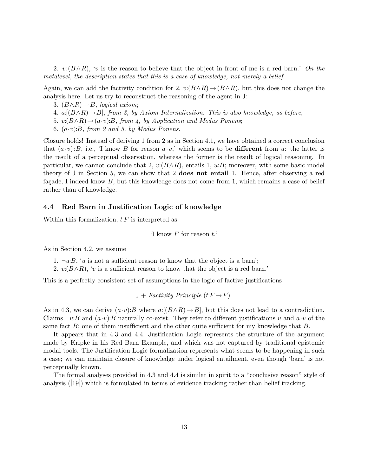2.  $v:(B\wedge R), 'v$  is the reason to believe that the object in front of me is a red barn.' On the metalevel, the description states that this is a case of knowledge, not merely a belief.

Again, we can add the factivity condition for 2,  $v:(B\wedge R)\rightarrow(B\wedge R)$ , but this does not change the analysis here. Let us try to reconstruct the reasoning of the agent in J:

3.  $(B \land R) \rightarrow B$ , logical axiom;

- 4. a: $[(B \wedge R) \rightarrow B]$ , from 3, by Axiom Internalization. This is also knowledge, as before;
- 5.  $v:(B\wedge R)\rightarrow (a\cdot v):B$ , from 4, by Application and Modus Ponens;
- 6.  $(a \cdot v)$ : B, from 2 and 5, by Modus Ponens.

Closure holds! Instead of deriving 1 from 2 as in Section 4.1, we have obtained a correct conclusion that  $(a \cdot v):B$ , i.e., 'I know B for reason  $a \cdot v$ ,' which seems to be **different** from u: the latter is the result of a perceptual observation, whereas the former is the result of logical reasoning. In particular, we cannot conclude that 2,  $v:(B\wedge R)$ , entails 1,  $u:B$ ; moreover, with some basic model theory of J in Section 5, we can show that 2 does not entail 1. Hence, after observing a red façade, I indeed know  $B$ , but this knowledge does not come from 1, which remains a case of belief rather than of knowledge.

#### 4.4 Red Barn in Justification Logic of knowledge

Within this formalization,  $t$ : $F$  is interpreted as

'I know  $F$  for reason  $t$ .'

As in Section 4.2, we assume

1.  $\neg w:B$ , 'u is not a sufficient reason to know that the object is a barn';

2.  $v(B \wedge R)$ , 'v is a sufficient reason to know that the object is a red barn.'

This is a perfectly consistent set of assumptions in the logic of factive justifications

 $J + Factivity Principle (t: F \rightarrow F).$ 

As in 4.3, we can derive  $(a \cdot v):B$  where  $a:[(B \wedge R) \rightarrow B]$ , but this does not lead to a contradiction. Claims  $\neg u:B$  and  $(a \cdot v):B$  naturally co-exist. They refer to different justifications u and  $a \cdot v$  of the same fact  $B$ ; one of them insufficient and the other quite sufficient for my knowledge that  $B$ .

It appears that in 4.3 and 4.4, Justification Logic represents the structure of the argument made by Kripke in his Red Barn Example, and which was not captured by traditional epistemic modal tools. The Justification Logic formalization represents what seems to be happening in such a case; we can maintain closure of knowledge under logical entailment, even though 'barn' is not perceptually known.

The formal analyses provided in 4.3 and 4.4 is similar in spirit to a "conclusive reason" style of analysis ([19]) which is formulated in terms of evidence tracking rather than belief tracking.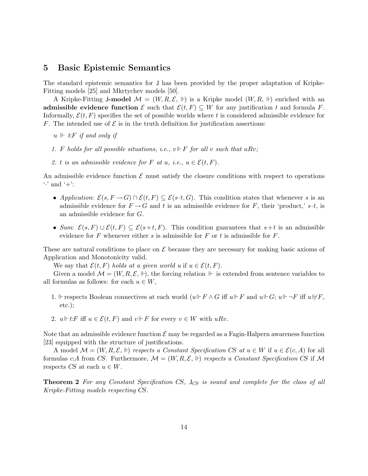## 5 Basic Epistemic Semantics

The standard epistemic semantics for J has been provided by the proper adaptation of Kripke-Fitting models [25] and Mkrtychev models [50].

A Kripke-Fitting **J-model**  $\mathcal{M} = (W, R, \mathcal{E}, \mathbb{F})$  is a Kripke model  $(W, R, \mathbb{F})$  enriched with an admissible evidence function  $\mathcal E$  such that  $\mathcal E(t, F) \subseteq W$  for any justification t and formula F. Informally,  $\mathcal{E}(t, F)$  specifies the set of possible worlds where t is considered admissible evidence for F. The intended use of  $\mathcal E$  is in the truth definition for justification assertions:

 $u \Vdash t$ : F if and only if

- 1. F holds for all possible situations, i.e.,  $v \Vdash F$  for all v such that  $uRv$ ;
- 2. t is an admissible evidence for F at u, i.e.,  $u \in \mathcal{E}(t, F)$ .

An admissible evidence function  $\mathcal E$  must satisfy the closure conditions with respect to operations  $\cdot$  and  $\cdot$  +  $\cdot$ :

- Application:  $\mathcal{E}(s, F \to G) \cap \mathcal{E}(t, F) \subseteq \mathcal{E}(s \cdot t, G)$ . This condition states that whenever s is an admissible evidence for  $F \rightarrow G$  and t is an admissible evidence for F, their 'product,' s·t, is an admissible evidence for G.
- Sum:  $\mathcal{E}(s, F) \cup \mathcal{E}(t, F) \subseteq \mathcal{E}(s+t, F)$ . This condition guarantees that  $s+t$  is an admissible evidence for F whenever either s is admissible for F or t is admissible for F.

These are natural conditions to place on  $\mathcal E$  because they are necessary for making basic axioms of Application and Monotonicity valid.

We say that  $\mathcal{E}(t, F)$  holds at a given world u if  $u \in \mathcal{E}(t, F)$ .

Given a model  $\mathcal{M} = (W, R, \mathcal{E}, \mathbb{H})$ , the forcing relation  $\mathbb{H}$  is extended from sentence variables to all formulas as follows: for each  $u \in W$ ,

- 1. ⊩ respects Boolean connectives at each world  $(u \Vdash F \wedge G$  iff  $u \Vdash F$  and  $u \Vdash G$ ;  $u \Vdash \neg F$  iff  $u \Vdash F$ , etc.);
- 2.  $u \Vdash t$ : If  $u \in \mathcal{E}(t, F)$  and  $v \Vdash F$  for every  $v \in W$  with  $u R v$ .

Note that an admissible evidence function  $\mathcal E$  may be regarded as a Fagin-Halpern awareness function [23] equipped with the structure of justifications.

A model  $\mathcal{M} = (W, R, \mathcal{E}, \Vdash)$  respects a Constant Specification CS at  $u \in W$  if  $u \in \mathcal{E}(c, A)$  for all formulas c:A from CS. Furthermore,  $\mathcal{M} = (W, R, \mathcal{E}, \Vdash)$  respects a Constant Specification CS if  $\mathcal{M}$ respects  $CS$  at each  $u \in W$ .

**Theorem 2** For any Constant Specification CS,  $J_{CS}$  is sound and complete for the class of all Kripke-Fitting models respecting CS.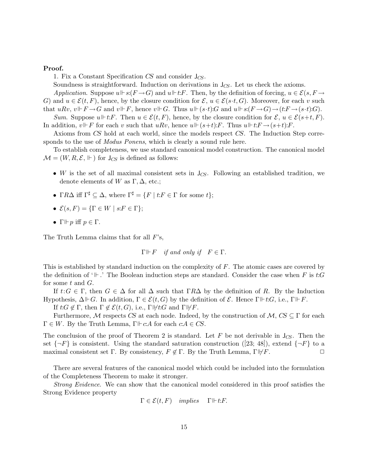#### Proof.

1. Fix a Constant Specification  $CS$  and consider  $J_{CS}$ .

Soundness is straightforward. Induction on derivations in  $J_{\text{CS}}$ . Let us check the axioms.

Application. Suppose  $u \Vdash s:(F \to G)$  and  $u \Vdash t:F$ . Then, by the definition of forcing,  $u \in \mathcal{E}(s, F \to G)$ G) and  $u \in \mathcal{E}(t, F)$ , hence, by the closure condition for  $\mathcal{E}, u \in \mathcal{E}(s \cdot t, G)$ . Moreover, for each v such that  $uRv, v \Vdash F \to G$  and  $v \Vdash F$ , hence  $v \Vdash G$ . Thus  $u \Vdash (s \cdot t):G$  and  $u \Vdash s:(F \to G) \to (t:F \to (s \cdot t):G)$ .

Sum. Suppose  $u \Vdash t$ : Then  $u \in \mathcal{E}(t, F)$ , hence, by the closure condition for  $\mathcal{E}, u \in \mathcal{E}(s+t, F)$ . In addition,  $v \Vdash F$  for each v such that  $uRv$ , hence  $u \Vdash (s+t):F$ . Thus  $u \Vdash t:F \to (s+t):F$ .

Axioms from CS hold at each world, since the models respect CS. The Induction Step corresponds to the use of *Modus Ponens*, which is clearly a sound rule here.

To establish completeness, we use standard canonical model construction. The canonical model  $\mathcal{M} = (W, R, \mathcal{E}, \Vdash)$  for  $J_{CS}$  is defined as follows:

- W is the set of all maximal consistent sets in  $J_{CS}$ . Following an established tradition, we denote elements of W as  $\Gamma, \Delta$ , etc.;
- ΓRΔ iff  $\Gamma^{\sharp} \subseteq \Delta$ , where  $\Gamma^{\sharp} = \{F \mid t: F \in \Gamma \text{ for some } t\};$

• 
$$
\mathcal{E}(s, F) = \{ \Gamma \in W \mid s: F \in \Gamma \};
$$

• Γ $\mathsf{F} \models p$  iff  $p \in \Gamma$ .

The Truth Lemma claims that for all F's,

 $\Gamma \Vdash F$  *if and only if*  $F \in \Gamma$ .

This is established by standard induction on the complexity of F. The atomic cases are covered by the definition of  $E \to \Gamma$  The Boolean induction steps are standard. Consider the case when F is t:G for some  $t$  and  $G$ .

If  $t:G \in \Gamma$ , then  $G \in \Delta$  for all  $\Delta$  such that  $\Gamma R\Delta$  by the definition of R. By the Induction Hypothesis,  $\Delta \vdash G$ . In addition,  $\Gamma \in \mathcal{E}(t, G)$  by the definition of  $\mathcal{E}$ . Hence  $\Gamma \vdash t:G$ , i.e.,  $\Gamma \vdash F$ .

If  $t:G \notin \Gamma$ , then  $\Gamma \notin \mathcal{E}(t, G)$ , i.e.,  $\Gamma \not\vdash t:G$  and  $\Gamma \not\vdash F$ .

Furthermore, M respects CS at each node. Indeed, by the construction of M,  $CS \subseteq \Gamma$  for each  $\Gamma \in W$ . By the Truth Lemma,  $\Gamma \vdash c:A$  for each  $c:A \in CS$ .

The conclusion of the proof of Theorem 2 is standard. Let F be not derivable in  $J_{\text{CS}}$ . Then the set  $\{\neg F\}$  is consistent. Using the standard saturation construction ([23; 48]), extend  $\{\neg F\}$  to a maximal consistent set Γ. By consistency,  $F \notin \Gamma$ . By the Truth Lemma,  $\Gamma \not\vdash F$ .

There are several features of the canonical model which could be included into the formulation of the Completeness Theorem to make it stronger.

Strong Evidence. We can show that the canonical model considered in this proof satisfies the Strong Evidence property

 $\Gamma \in \mathcal{E}(t, F)$  implies  $\Gamma \Vdash t$ : F.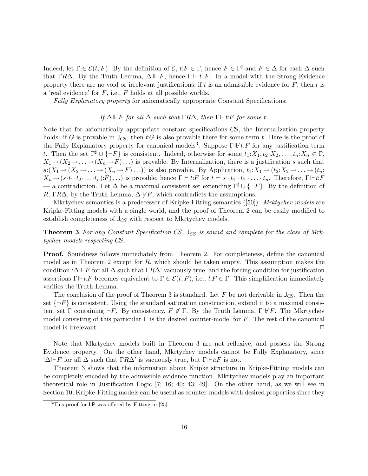Indeed, let  $\Gamma \in \mathcal{E}(t, F)$ . By the definition of  $\mathcal{E}, t: F \in \Gamma$ , hence  $F \in \Gamma^{\sharp}$  and  $F \in \Delta$  for each  $\Delta$  such that  $\Gamma R\Delta$ . By the Truth Lemma,  $\Delta \Vdash F$ , hence  $\Gamma \Vdash t$ : In a model with the Strong Evidence property there are no void or irrelevant justifications; if  $t$  is an admissible evidence for  $F$ , then  $t$  is a 'real evidence' for  $F$ , i.e.,  $F$  holds at all possible worlds.

Fully Explanatory property for axiomatically appropriate Constant Specifications:

#### If  $\Delta \Vdash F$  for all  $\Delta$  such that  $\Gamma R\Delta$ , then  $\Gamma \Vdash t$ : F for some t.

Note that for axiomatically appropriate constant specifications CS, the Internalization property holds: if G is provable in  $J_{CS}$ , then t:G is also provable there for some term t. Here is the proof of the Fully Explanatory property for canonical models<sup>3</sup>. Suppose  $\Gamma \uplus t$ : F for any justification term t. Then the set  $\Gamma^{\sharp} \cup \{\neg F\}$  is consistent. Indeed, otherwise for some  $t_1: X_1, t_2: X_2, \ldots, t_n: X_n \in \Gamma$ ,  $X_1 \to (X_2 \to \ldots \to (X_n \to F) \ldots)$  is provable. By Internalization, there is a justification s such that  $s:(X_1\to (X_2\to \ldots \to (X_n\to F)\ldots))$  is also provable. By Application,  $t_1:X_1\to (t_2:X_2\to \ldots \to (t_n:X_n)$  $X_n \to (s \cdot t_1 \cdot t_2 \cdot \ldots \cdot t_n) : F) \ldots$  is provable, hence  $\Gamma \vdash t$ : F for  $t = s \cdot t_1 \cdot t_2 \cdot \ldots \cdot t_n$ . Therefore,  $\Gamma \Vdash t$ : F — a contradiction. Let  $\Delta$  be a maximal consistent set extending  $\Gamma^{\sharp} \cup {\{\neg F\}}$ . By the definition of R, ΓRΔ, by the Truth Lemma,  $\Delta \psi F$ , which contradicts the assumptions.

Mkrtychev semantics is a predecessor of Kripke-Fitting semantics ([50]). *Mrktychev models* are Kripke-Fitting models with a single world, and the proof of Theorem 2 can be easily modified to establish completeness of  $J_{CS}$  with respect to Mkrtychev models.

**Theorem 3** For any Constant Specification CS,  $J_{CS}$  is sound and complete for the class of Mrktychev models respecting CS.

Proof. Soundness follows immediately from Theorem 2. For completeness, define the canonical model as in Theorem 2 except for  $R$ , which should be taken empty. This assumption makes the condition  $\Delta \Vdash F$  for all  $\Delta$  such that  $\Gamma R\Delta'$  vacuously true, and the forcing condition for justification assertions  $\Gamma \Vdash t$ :F becomes equivalent to  $\Gamma \in \mathcal{E}(t, F)$ , i.e.,  $t$ :F  $\in \Gamma$ . This simplification immediately verifies the Truth Lemma.

The conclusion of the proof of Theorem 3 is standard. Let F be not derivable in  $J_{CS}$ . Then the set  $\{\neg F\}$  is consistent. Using the standard saturation construction, extend it to a maximal consistent set Γ containing  $\neg F$ . By consistency,  $F \notin \Gamma$ . By the Truth Lemma, Γ $\nparallel F$ . The Mkrtychev model consisting of this particular  $\Gamma$  is the desired counter-model for F. The rest of the canonical model is irrelevant.  $\Box$ 

Note that Mkrtychev models built in Theorem 3 are not reflexive, and possess the Strong Evidence property. On the other hand, Mkrtychev models cannot be Fully Explanatory, since  $\Delta \vdash F$  for all  $\Delta$  such that  $\Gamma R \Delta'$  is vacuously true, but  $\Gamma \vdash t$ : *F* is not.

Theorem 3 shows that the information about Kripke structure in Kripke-Fitting models can be completely encoded by the admissible evidence function. Mkrtychev models play an important theoretical role in Justification Logic [7; 16; 40; 43; 49]. On the other hand, as we will see in Section 10, Kripke-Fitting models can be useful as counter-models with desired properties since they

 $3$ This proof for LP was offered by Fitting in [25].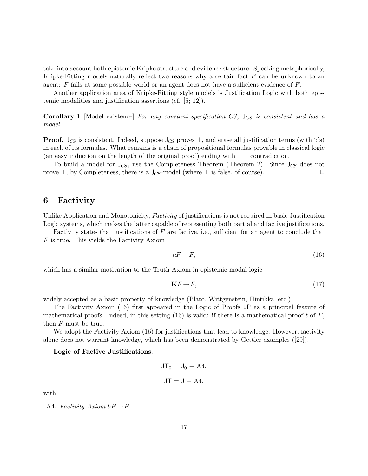take into account both epistemic Kripke structure and evidence structure. Speaking metaphorically, Kripke-Fitting models naturally reflect two reasons why a certain fact  $F$  can be unknown to an agent: F fails at some possible world or an agent does not have a sufficient evidence of F.

Another application area of Kripke-Fitting style models is Justification Logic with both epistemic modalities and justification assertions (cf. [5; 12]).

**Corollary 1** [Model existence] For any constant specification CS,  $J_{CS}$  is consistent and has a model.

**Proof.**  $J_{CS}$  is consistent. Indeed, suppose  $J_{CS}$  proves  $\perp$ , and erase all justification terms (with ':'s) in each of its formulas. What remains is a chain of propositional formulas provable in classical logic (an easy induction on the length of the original proof) ending with  $\perp$  – contradiction.

To build a model for  $J_{CS}$ , use the Completeness Theorem (Theorem 2). Since  $J_{CS}$  does not prove  $\perp$ , by Completeness, there is a J<sub>CS</sub>-model (where  $\perp$  is false, of course).

### 6 Factivity

Unlike Application and Monotonicity, *Factivity* of justifications is not required in basic Justification Logic systems, which makes the latter capable of representing both partial and factive justifications.

Factivity states that justifications of F are factive, i.e., sufficient for an agent to conclude that  $F$  is true. This yields the Factivity Axiom

$$
t: F \to F,\tag{16}
$$

which has a similar motivation to the Truth Axiom in epistemic modal logic

$$
\mathbf{K}F \to F,\tag{17}
$$

widely accepted as a basic property of knowledge (Plato, Wittgenstein, Hintikka, etc.).

The Factivity Axiom (16) first appeared in the Logic of Proofs LP as a principal feature of mathematical proofs. Indeed, in this setting  $(16)$  is valid: if there is a mathematical proof t of F, then F must be true.

We adopt the Factivity Axiom (16) for justifications that lead to knowledge. However, factivity alone does not warrant knowledge, which has been demonstrated by Gettier examples ([29]).

#### Logic of Factive Justifications:

$$
\mathsf{JT}_0 = \mathsf{J}_0 + \mathsf{A4},
$$

$$
\mathsf{JT} = \mathsf{J} + \mathsf{A4},
$$

with

A4. Factivity Axiom  $t: F \to F$ .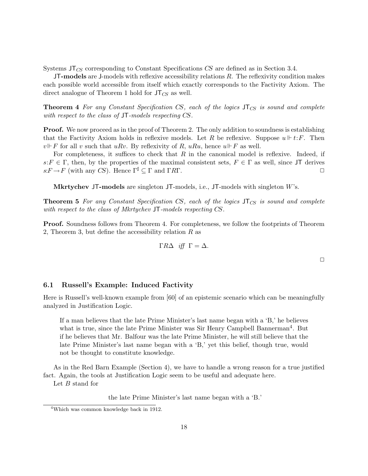Systems  $JT_{CS}$  corresponding to Constant Specifications CS are defined as in Section 3.4.

 $J$ T-models are J-models with reflexive accessibility relations R. The reflexivity condition makes each possible world accessible from itself which exactly corresponds to the Factivity Axiom. The direct analogue of Theorem 1 hold for  $JT_{CS}$  as well.

**Theorem 4** For any Constant Specification CS, each of the logics  $JT_{CS}$  is sound and complete with respect to the class of JT-models respecting CS.

**Proof.** We now proceed as in the proof of Theorem 2. The only addition to soundness is establishing that the Factivity Axiom holds in reflexive models. Let R be reflexive. Suppose  $u \Vdash t$ : F. Then  $v \Vdash F$  for all v such that uRv. By reflexivity of R, uRu, hence  $u \Vdash F$  as well.

For completeness, it suffices to check that  $R$  in the canonical model is reflexive. Indeed, if  $s: F \in \Gamma$ , then, by the properties of the maximal consistent sets,  $F \in \Gamma$  as well, since JT derives  $s: F \to F$  (with any CS). Hence  $\Gamma^{\sharp} \subseteq \Gamma$  and  $\Gamma R\Gamma$ .

Mkrtychev JT-models are singleton JT-models, i.e., JT-models with singleton W's.

**Theorem 5** For any Constant Specification CS, each of the logics  $JT_{CS}$  is sound and complete with respect to the class of Mkrtychev JT-models respecting CS.

Proof. Soundness follows from Theorem 4. For completeness, we follow the footprints of Theorem 2, Theorem 3, but define the accessibility relation  $R$  as

$$
\Gamma R \Delta \quad \text{iff} \quad \Gamma = \Delta.
$$

 $\Box$ 

#### 6.1 Russell's Example: Induced Factivity

Here is Russell's well-known example from [60] of an epistemic scenario which can be meaningfully analyzed in Justification Logic.

If a man believes that the late Prime Minister's last name began with a 'B,' he believes what is true, since the late Prime Minister was Sir Henry Campbell Bannerman<sup>4</sup>. But if he believes that Mr. Balfour was the late Prime Minister, he will still believe that the late Prime Minister's last name began with a 'B,' yet this belief, though true, would not be thought to constitute knowledge.

As in the Red Barn Example (Section 4), we have to handle a wrong reason for a true justified fact. Again, the tools at Justification Logic seem to be useful and adequate here.

Let B stand for

the late Prime Minister's last name began with a 'B.'

<sup>4</sup>Which was common knowledge back in 1912.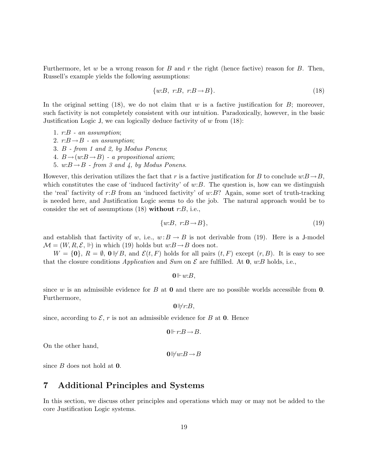Furthermore, let w be a wrong reason for B and r the right (hence factive) reason for B. Then, Russell's example yields the following assumptions:

$$
\{w:B, r:B \to B\}.\tag{18}
$$

In the original setting  $(18)$ , we do not claim that w is a factive justification for B; moreover, such factivity is not completely consistent with our intuition. Paradoxically, however, in the basic Justification Logic J, we can logically deduce factivity of  $w$  from  $(18)$ :

- 1. r:B an assumption;
- 2.  $r:B \rightarrow B$  an assumption;
- 3. B from 1 and 2, by Modus Ponens;
- 4.  $B \rightarrow (w:B \rightarrow B)$  a propositional axiom;
- 5.  $w:B \rightarrow B$  from 3 and 4, by Modus Ponens.

However, this derivation utilizes the fact that r is a factive justification for B to conclude  $w:B\to B$ , which constitutes the case of 'induced factivity' of  $w:B$ . The question is, how can we distinguish the 'real' factivity of  $r:B$  from an 'induced factivity' of  $w:B$ ? Again, some sort of truth-tracking is needed here, and Justification Logic seems to do the job. The natural approach would be to consider the set of assumptions (18) without  $r:B$ , i.e.,

$$
\{w:B, r:B \to B\},\tag{19}
$$

and establish that factivity of w, i.e.,  $w : B \to B$  is not derivable from (19). Here is a J-model  $\mathcal{M} = (W, R, \mathcal{E}, \mathbb{H})$  in which (19) holds but  $w:B \to B$  does not.

 $W = \{0\}, R = \emptyset, 0 \,\forall B, \text{ and } \mathcal{E}(t, F) \text{ holds for all pairs } (t, F) \text{ except } (r, B).$  It is easy to see that the closure conditions *Application* and Sum on  $\mathcal E$  are fulfilled. At **0**, w:B holds, i.e.,

 $0 \Vdash w:B$ ,

since w is an admissible evidence for B at **0** and there are no possible worlds accessible from **0**. Furthermore,

 $0 \forall r$ : $B$ ,

since, according to  $\mathcal{E}$ , r is not an admissible evidence for B at 0. Hence

$$
0 \Vdash r : B \to B.
$$

On the other hand,

 $0 \mid \forall w:B \rightarrow B$ 

since B does not hold at 0.

## 7 Additional Principles and Systems

In this section, we discuss other principles and operations which may or may not be added to the core Justification Logic systems.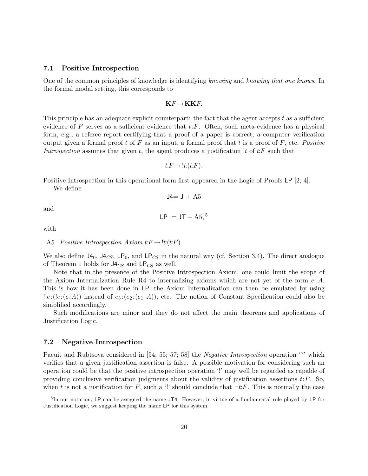#### 7.1 Positive Introspection

One of the common principles of knowledge is identifying knowing and knowing that one knows. In the formal modal setting, this corresponds to

$$
\mathbf{K} F \rightarrow \mathbf{K} \mathbf{K} F.
$$

This principle has an adequate explicit counterpart: the fact that the agent accepts  $t$  as a sufficient evidence of F serves as a sufficient evidence that  $t$ :F. Often, such meta-evidence has a physical form, e.g., a referee report certifying that a proof of a paper is correct, a computer verification output given a formal proof t of F as an input, a formal proof that t is a proof of F, etc. Positive Introspection assumes that given t, the agent produces a justification  $!t$  of  $t$ : F such that

$$
t: F \to \mathord!t: (t:F).
$$

Positive Introspection in this operational form first appeared in the Logic of Proofs LP [2; 4]. We define

 $J4= J + A5$ 

and

 $LP = JT + A5, \frac{5}{3}$ 

with

A5. Positive Introspection  $Axiom t: F \to \text{!}t:(t:F)$ .

We also define  $J_0$ ,  $J_0$ ,  $J_0$ , and  $L_{\text{C}}$  in the natural way (cf. Section 3.4). The direct analogue of Theorem 1 holds for  $J4_{CS}$  and  $LP_{CS}$  as well.

Note that in the presence of the Positive Introspection Axiom, one could limit the scope of the Axiom Internalization Rule R4 to internalizing axioms which are not yet of the form  $e : A$ . This is how it has been done in LP: the Axiom Internalization can then be emulated by using  $!!e:(e:(e:(e:A))$  instead of  $e_3:(e_2:(e_1:A))$ , etc. The notion of Constant Specification could also be simplified accordingly.

Such modifications are minor and they do not affect the main theorems and applications of Justification Logic.

#### 7.2 Negative Introspection

Pacuit and Rubtsova considered in [54; 55; 57; 58] the *Negative Introspection* operation '?' which verifies that a given justification assertion is false. A possible motivation for considering such an operation could be that the positive introspection operation '!' may well be regarded as capable of providing conclusive verification judgments about the validity of justification assertions  $t$ :  $F$ . So, when t is not a justification for F, such a '!' should conclude that  $\neg t$ : This is normally the case

<sup>&</sup>lt;sup>5</sup>In our notation, LP can be assigned the name JT4. However, in virtue of a fundamental role played by LP for Justification Logic, we suggest keeping the name LP for this system.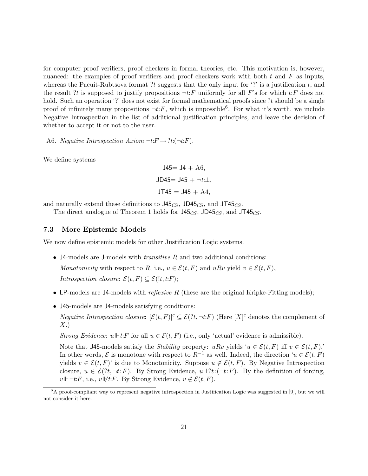for computer proof verifiers, proof checkers in formal theories, etc. This motivation is, however, nuanced: the examples of proof verifiers and proof checkers work with both  $t$  and  $F$  as inputs, whereas the Pacuit-Rubtsova format ?t suggests that the only input for '?' is a justification  $t$ , and the result ?t is supposed to justify propositions  $\neg t$ : F uniformly for all F's for which t: F does not hold. Such an operation '?' does not exist for formal mathematical proofs since ?t should be a single proof of infinitely many propositions  $\neg t$ : F, which is impossible<sup>6</sup>. For what it's worth, we include Negative Introspection in the list of additional justification principles, and leave the decision of whether to accept it or not to the user.

A6. Negative Introspection  $Axiom \neg t: F \rightarrow ?t:(\neg t:F)$ .

We define systems

$$
J45 = J4 + A6,
$$
  
JD45 = J45 +  $\neg t:\perp$ ,  
JT45 = J45 + A4,

and naturally extend these definitions to  $J45_{CS}$ , JD45 $_{CS}$ , and JT45 $_{CS}$ .

The direct analogue of Theorem 1 holds for  $J45_{CS}$ , JD45<sub>CS</sub>, and JT45<sub>CS</sub>.

#### 7.3 More Epistemic Models

We now define epistemic models for other Justification Logic systems.

• J4-models are J-models with *transitive*  $R$  and two additional conditions:

Monotonicity with respect to R, i.e.,  $u \in \mathcal{E}(t, F)$  and  $u R v$  yield  $v \in \mathcal{E}(t, F)$ , Introspection closure:  $\mathcal{E}(t, F) \subseteq \mathcal{E}(!t, t: F);$ 

- LP-models are J4-models with *reflexive R* (these are the original Kripke-Fitting models);
- J45-models are J4-models satisfying conditions:
	- *Negative Introspection closure:*  $[\mathcal{E}(t, F)]^c \subseteq \mathcal{E}(?t, \neg t \cdot F)$  (Here  $[X]^c$  denotes the complement of  $X.$

Strong Evidence:  $u \Vdash t$ : F for all  $u \in \mathcal{E}(t, F)$  (i.e., only 'actual' evidence is admissible).

Note that J45-models satisfy the Stability property: uRv yields ' $u \in \mathcal{E}(t, F)$  iff  $v \in \mathcal{E}(t, F)$ .' In other words,  $\mathcal E$  is monotone with respect to  $R^{-1}$  as well. Indeed, the direction ' $u \in \mathcal E(t, F)$ yields  $v \in \mathcal{E}(t, F)$ ' is due to Monotonicity. Suppose  $u \notin \mathcal{E}(t, F)$ . By Negative Introspection closure,  $u \in \mathcal{E}(?t, \neg t : F)$ . By Strong Evidence,  $u \Vdash ?t:(\neg t : F)$ . By the definition of forcing,  $v \Vdash \neg t$ :F, i.e.,  $v \Vdash t$ :F. By Strong Evidence,  $v \notin \mathcal{E}(t, F)$ .

 $6A$  proof-compliant way to represent negative introspection in Justification Logic was suggested in [9], but we will not consider it here.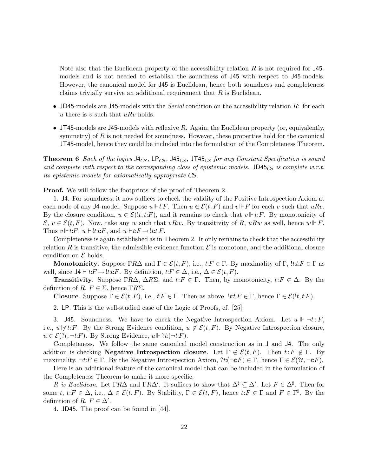Note also that the Euclidean property of the accessibility relation  $R$  is not required for J45models and is not needed to establish the soundness of J45 with respect to J45-models. However, the canonical model for J45 is Euclidean, hence both soundness and completeness claims trivially survive an additional requirement that  $R$  is Euclidean.

- JD45-models are J45-models with the *Serial* condition on the accessibility relation  $R$ : for each u there is v such that  $uRv$  holds.
- JT45-models are J45-models with reflexive  $R$ . Again, the Euclidean property (or, equivalently, symmetry) of  $R$  is not needed for soundness. However, these properties hold for the canonical JT45-model, hence they could be included into the formulation of the Completeness Theorem.

**Theorem 6** Each of the logics  $J4_{CS}$ , LP<sub>CS</sub>, J45<sub>CS</sub>, JT45<sub>CS</sub> for any Constant Specification is sound and complete with respect to the corresponding class of epistemic models. JD45 $_{CS}$  is complete w.r.t. its epistemic models for axiomatically appropriate CS.

Proof. We will follow the footprints of the proof of Theorem 2.

1. J4. For soundness, it now suffices to check the validity of the Positive Introspection Axiom at each node of any J4-model. Suppose  $u \Vdash t$ : Then  $u \in \mathcal{E}(t, F)$  and  $v \Vdash F$  for each v such that  $u R v$ . By the closure condition,  $u \in \mathcal{E}(l_t, t; F)$ , and it remains to check that  $v \Vdash t \cdot F$ . By monotonicity of  $\mathcal{E}, v \in \mathcal{E}(t, F)$ . Now, take any w such that vRw. By transitivity of R, uRw as well, hence  $w \Vdash F$ . Thus  $v \Vdash t$ :  $F$ ,  $u \Vdash !t$ : $t$ :  $F$ , and  $u \Vdash t$ :  $F \rightarrow !t$ : $t$ : $F$ .

Completeness is again established as in Theorem 2. It only remains to check that the accessibility relation R is transitive, the admissible evidence function  $\mathcal E$  is monotone, and the additional closure condition on  $\mathcal E$  holds.

**Monotonicity**. Suppose  $\Gamma R\Delta$  and  $\Gamma \in \mathcal{E}(t, F)$ , i.e.,  $t: F \in \Gamma$ . By maximality of  $\Gamma$ ,  $\lvert t: t: F \in \Gamma$  as well, since  $J4 \vdash t: F \to \exists t: F$ . By definition,  $t: F \in \Delta$ , i.e.,  $\Delta \in \mathcal{E}(t, F)$ .

**Transitivity.** Suppose  $\Gamma R\Delta$ ,  $\Delta R\Sigma$ , and  $t: F \in \Gamma$ . Then, by monotonicity,  $t: F \in \Delta$ . By the definition of  $R, F \in \Sigma$ , hence  $\Gamma R \Sigma$ .

Closure. Suppose  $\Gamma \in \mathcal{E}(t, F)$ , i.e.,  $t: F \in \Gamma$ . Then as above,  $! t: F \in \Gamma$ , hence  $\Gamma \in \mathcal{E}(t, t: F)$ .

2. LP. This is the well-studied case of the Logic of Proofs, cf. [25].

3. J45. Soundness. We have to check the Negative Introspection Axiom. Let  $u \Vdash \neg t : F$ , i.e.,  $u \not\vdash t$ : Ey the Strong Evidence condition,  $u \notin \mathcal{E}(t, F)$ . By Negative Introspection closure,  $u \in \mathcal{E}(?t, \neg t \mathpunct{:}F)$ . By Strong Evidence,  $u \Vdash ?t \mathpunct{:}(\neg t \mathpunct{:}F)$ .

Completeness. We follow the same canonical model construction as in J and J4. The only addition is checking Negative Introspection closure. Let  $\Gamma \notin \mathcal{E}(t, F)$ . Then  $t: F \notin \Gamma$ . By maximality,  $\neg t: F \in \Gamma$ . By the Negative Introspection Axiom,  $?t: (\neg t:F) \in \Gamma$ , hence  $\Gamma \in \mathcal{E}(?t, \neg t:F)$ .

Here is an additional feature of the canonical model that can be included in the formulation of the Completeness Theorem to make it more specific.

R is Euclidean. Let  $\Gamma R\Delta$  and  $\Gamma R\Delta'$ . It suffices to show that  $\Delta^{\sharp} \subseteq \Delta'$ . Let  $F \in \Delta^{\sharp}$ . Then for some t,  $t: F \in \Delta$ , i.e.,  $\Delta \in \mathcal{E}(t, F)$ . By Stability,  $\Gamma \in \mathcal{E}(t, F)$ , hence  $t: F \in \Gamma$  and  $F \in \Gamma^{\sharp}$ . By the definition of  $R, F \in \Delta'$ .

4. JD45. The proof can be found in [44].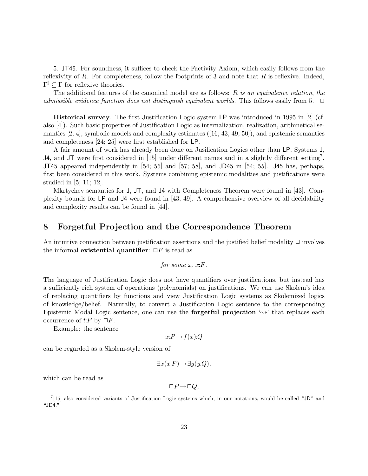5. JT45. For soundness, it suffices to check the Factivity Axiom, which easily follows from the reflexivity of R. For completeness, follow the footprints of 3 and note that  $R$  is reflexive. Indeed,  $\Gamma^{\sharp} \subseteq \Gamma$  for reflexive theories.

The additional features of the canonical model are as follows: R is an equivalence relation, the admissible evidence function does not distinguish equivalent worlds. This follows easily from 5.  $\Box$ 

Historical survey. The first Justification Logic system LP was introduced in 1995 in [2] (cf. also [4]). Such basic properties of Justification Logic as internalization, realization, arithmetical semantics  $[2, 4]$ , symbolic models and complexity estimates  $([16; 43; 49; 50])$ , and epistemic semantics and completeness [24; 25] were first established for LP.

A fair amount of work has already been done on Jusification Logics other than LP. Systems J, J4, and JT were first considered in [15] under different names and in a slightly different setting<sup>7</sup>. JT45 appeared independently in [54; 55] and [57; 58], and JD45 in [54; 55]. J45 has, perhaps, first been considered in this work. Systems combining epistemic modalities and justifications were studied in [5; 11; 12].

Mkrtychev semantics for J, JT, and J4 with Completeness Theorem were found in [43]. Complexity bounds for LP and J4 were found in [43; 49]. A comprehensive overview of all decidability and complexity results can be found in [44].

## 8 Forgetful Projection and the Correspondence Theorem

An intuitive connection between justification assertions and the justified belief modality  $\Box$  involves the informal **existential quantifier**:  $\Box F$  is read as

for some 
$$
x
$$
,  $x$ : $F$ .

The language of Justification Logic does not have quantifiers over justifications, but instead has a sufficiently rich system of operations (polynomials) on justifications. We can use Skolem's idea of replacing quantifiers by functions and view Justification Logic systems as Skolemized logics of knowledge/belief. Naturally, to convert a Justification Logic sentence to the corresponding Epistemic Modal Logic sentence, one can use the **forgetful projection**  $\rightsquigarrow$  that replaces each occurrence of  $t$ : F by  $\Box F$ .

Example: the sentence

 $x: P \to f(x):Q$ 

can be regarded as a Skolem-style version of

$$
\exists x (x \mathpunct{:} P) \rightarrow \exists y (y \mathpunct{:} Q),
$$

which can be read as

 $\Box P \rightarrow \Box Q$ ,

<sup>7</sup> [15] also considered variants of Justification Logic systems which, in our notations, would be called "JD" and "JD4."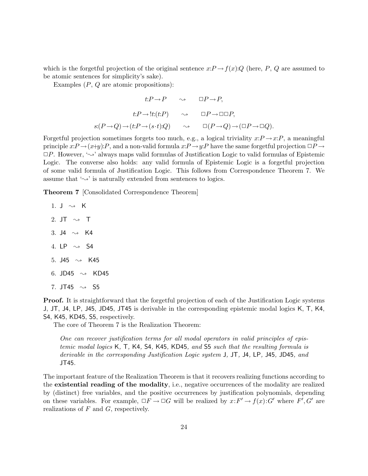which is the forgetful projection of the original sentence  $x: P \to f(x):Q$  (here, P, Q are assumed to be atomic sentences for simplicity's sake).

Examples  $(P, Q)$  are atomic propositions):

$$
t:P \to P \qquad \leadsto \qquad \Box P \to P,
$$
  

$$
t:P \to !t:(t:P) \qquad \leadsto \qquad \Box P \to \Box \Box P,
$$
  

$$
s:(P \to Q) \to (t:P \to (s \cdot t):Q) \qquad \leadsto \qquad \Box(P \to Q) \to (\Box P \to \Box Q).
$$

Forgetful projection sometimes forgets too much, e.g., a logical triviality  $x: P \to x: P$ , a meaningful principle  $x: P \to (x+y):P$ , and a non-valid formula  $x: P \to y:P$  have the same forgetful projection  $\Box P \to$  $\Box P$ . However, ' $\sim$ ' always maps valid formulas of Justification Logic to valid formulas of Epistemic Logic. The converse also holds: any valid formula of Epistemic Logic is a forgetful projection of some valid formula of Justification Logic. This follows from Correspondence Theorem 7. We assume that  $\sim$  is naturally extended from sentences to logics.

Theorem 7 [Consolidated Correspondence Theorem]

1. J  $\rightsquigarrow$  K 2. JT  $\sim$  T 3. J4  $\sim$  K4 4. LP  $\rightsquigarrow$  S4 5. J45  $\sim$  K45 6. JD45  $\rightsquigarrow$  KD45 7. JT45  $\sim$  S5

Proof. It is straightforward that the forgetful projection of each of the Justification Logic systems J, JT, J4, LP, J45, JD45, JT45 is derivable in the corresponding epistemic modal logics K, T, K4, S4, K45, KD45, S5, respectively.

The core of Theorem 7 is the Realization Theorem:

One can recover justification terms for all modal operators in valid principles of epistemic modal logics K, T, K4, S4, K45, KD45, and S5 such that the resulting formula is derivable in the corresponding Justification Logic system J, JT, J4, LP, J45, JD45, and JT45.

The important feature of the Realization Theorem is that it recovers realizing functions according to the existential reading of the modality, i.e., negative occurrences of the modality are realized by (distinct) free variables, and the positive occurrences by justification polynomials, depending on these variables. For example,  $\Box F \to \Box G$  will be realized by  $x: F' \to f(x): G'$  where  $F', G'$  are realizations of  $F$  and  $G$ , respectively.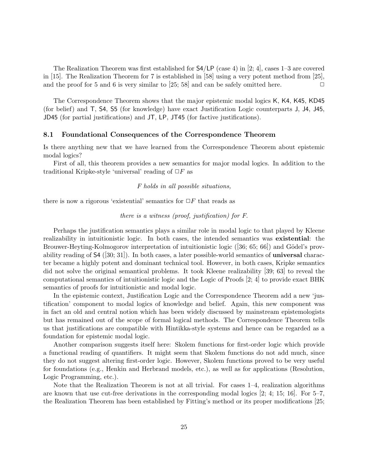The Realization Theorem was first established for  $\mathsf{S4}/\mathsf{LP}$  (case 4) in [2; 4], cases 1–3 are covered in [15]. The Realization Theorem for 7 is established in [58] using a very potent method from [25], and the proof for 5 and 6 is very similar to [25; 58] and can be safely omitted here.  $\Box$ 

The Correspondence Theorem shows that the major epistemic modal logics K, K4, K45, KD45 (for belief) and T, S4, S5 (for knowledge) have exact Justification Logic counterparts J, J4, J45, JD45 (for partial justifications) and JT, LP, JT45 (for factive justifications).

#### 8.1 Foundational Consequences of the Correspondence Theorem

Is there anything new that we have learned from the Correspondence Theorem about epistemic modal logics?

First of all, this theorem provides a new semantics for major modal logics. In addition to the traditional Kripke-style 'universal' reading of  $\Box F$  as

#### F holds in all possible situations,

there is now a rigorous 'existential' semantics for  $\Box F$  that reads as

#### there is a witness (proof, justification) for F.

Perhaps the justification semantics plays a similar role in modal logic to that played by Kleene realizability in intuitionistic logic. In both cases, the intended semantics was existential: the Brouwer-Heyting-Kolmogorov interpretation of intuitionistic logic  $(36; 65; 66)$  and Gödel's provability reading of  $\mathsf{S4}$  ([30; 31]). In both cases, a later possible-world semantics of **universal** character became a highly potent and dominant technical tool. However, in both cases, Kripke semantics did not solve the original semantical problems. It took Kleene realizability [39; 63] to reveal the computational semantics of intuitionistic logic and the Logic of Proofs [2; 4] to provide exact BHK semantics of proofs for intuitionistic and modal logic.

In the epistemic context, Justification Logic and the Correspondence Theorem add a new 'justification' component to modal logics of knowledge and belief. Again, this new component was in fact an old and central notion which has been widely discussed by mainstream epistemologists but has remained out of the scope of formal logical methods. The Correspondence Theorem tells us that justifications are compatible with Hintikka-style systems and hence can be regarded as a foundation for epistemic modal logic.

Another comparison suggests itself here: Skolem functions for first-order logic which provide a functional reading of quantifiers. It might seem that Skolem functions do not add much, since they do not suggest altering first-order logic. However, Skolem functions proved to be very useful for foundations (e.g., Henkin and Herbrand models, etc.), as well as for applications (Resolution, Logic Programming, etc.).

Note that the Realization Theorem is not at all trivial. For cases 1–4, realization algorithms are known that use cut-free derivations in the corresponding modal logics  $|2; 4; 15; 16|$ . For 5–7, the Realization Theorem has been established by Fitting's method or its proper modifications [25;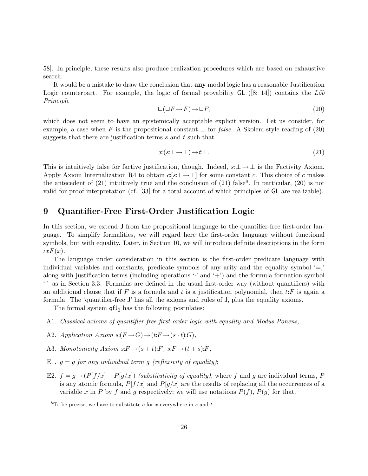58]. In principle, these results also produce realization procedures which are based on exhaustive search.

It would be a mistake to draw the conclusion that any modal logic has a reasonable Justification Logic counterpart. For example, the logic of formal provability GL ([8; 14]) contains the Löb Principle

$$
\Box(\Box F \to F) \to \Box F,\tag{20}
$$

which does not seem to have an epistemically acceptable explicit version. Let us consider, for example, a case when F is the propositional constant  $\perp$  for false. A Skolem-style reading of (20) suggests that there are justification terms s and t such that

$$
x(s:\perp \to \perp) \to t:\perp. \tag{21}
$$

This is intuitively false for factive justification, though. Indeed,  $s:\perp \to \perp$  is the Factivity Axiom. Apply Axiom Internalization R4 to obtain  $c:[s:\perp\to\perp]$  for some constant c. This choice of c makes the antecedent of  $(21)$  intuitively true and the conclusion of  $(21)$  false<sup>8</sup>. In particular,  $(20)$  is not valid for proof interpretation (cf. [33] for a total account of which principles of GL are realizable).

## 9 Quantifier-Free First-Order Justification Logic

In this section, we extend J from the propositional language to the quantifier-free first-order language. To simplify formalities, we will regard here the first-order language without functional symbols, but with equality. Later, in Section 10, we will introduce definite descriptions in the form  $\iota x F(x)$ .

The language under consideration in this section is the first-order predicate language with individual variables and constants, predicate symbols of any arity and the equality symbol  $\epsilon$ , along with justification terms (including operations  $\cdot \cdot$  and  $\cdot + \cdot$ ) and the formula formation symbol ':' as in Section 3.3. Formulas are defined in the usual first-order way (without quantifiers) with an additional clause that if F is a formula and t is a justification polynomial, then  $t$ : F is again a formula. The 'quantifier-free J' has all the axioms and rules of J, plus the equality axioms.

The formal system  $qfJ_0$  has the following postulates:

- A1. Classical axioms of quantifier-free first-order logic with equality and Modus Ponens,
- A2. Application Axiom  $s:(F \to G) \to (t:F \to (s \cdot t):G)$ ,
- A3. Monotonicity Axiom  $s: F \to (s + t): F$ ,  $s: F \to (t + s): F$ ,
- E1.  $q = q$  for any individual term q (reflexivity of equality);
- E2.  $f = g \rightarrow (P[f/x] \rightarrow P[g/x])$  (substitutivity of equality), where f and g are individual terms, P is any atomic formula,  $P[f/x]$  and  $P[g/x]$  are the results of replacing all the occurrences of a variable x in P by f and g respectively; we will use notations  $P(f)$ ,  $P(g)$  for that.

<sup>&</sup>lt;sup>8</sup>To be precise, we have to substitute c for x everywhere in s and t.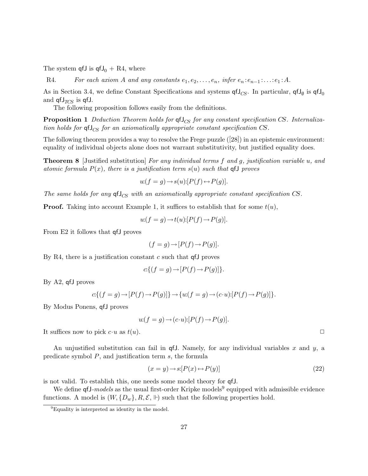The system qfJ is  $qfJ_0 + R4$ , where

R4. For each axiom A and any constants  $e_1, e_2, \ldots, e_n$ , infer  $e_n : e_{n-1} : \ldots : e_1 : A$ .

As in Section 3.4, we define Constant Specifications and systems  $\mathsf{qfJ}_{CS}$ . In particular,  $\mathsf{qfJ}_\emptyset$  is  $\mathsf{qfJ}_0$ and  $qfJ_{TCS}$  is qfJ.

The following proposition follows easily from the definitions.

**Proposition 1** Deduction Theorem holds for  $qf_{CS}$  for any constant specification CS. Internalization holds for  $qfJ_{CS}$  for an axiomatically appropriate constant specification CS.

The following theorem provides a way to resolve the Frege puzzle  $(28)$  in an epistemic environment: equality of individual objects alone does not warrant substitutivity, but justified equality does.

**Theorem 8** [Justified substitution] For any individual terms f and g, justification variable u, and atomic formula  $P(x)$ , there is a justification term  $s(u)$  such that  $qfJ$  proves

$$
u(f = g) \rightarrow s(u): [P(f) \leftrightarrow P(g)].
$$

The same holds for any  $qf_{CS}$  with an axiomatically appropriate constant specification CS.

**Proof.** Taking into account Example 1, it suffices to establish that for some  $t(u)$ ,

$$
u(f = g) \rightarrow t(u): [P(f) \rightarrow P(g)].
$$

From E2 it follows that qfJ proves

$$
(f = g) \rightarrow [P(f) \rightarrow P(g)].
$$

By R4, there is a justification constant  $c$  such that  $qfJ$  proves

$$
c\{(f = g) \rightarrow [P(f) \rightarrow P(g)]\}.
$$

By A2, qfJ proves

$$
c\{(f = g) \rightarrow [P(f) \rightarrow P(g)]\} \rightarrow \{w(f = g) \rightarrow (c \cdot u) : [P(f) \rightarrow P(g)]\}.
$$

By Modus Ponens, qfJ proves

$$
u(f = g) \rightarrow (c \cdot u): [P(f) \rightarrow P(g)].
$$

It suffices now to pick  $c \cdot u$  as  $t(u)$ .

An unjustified substitution can fail in  $\mathsf{qfJ}$ . Namely, for any individual variables x and y, a predicate symbol  $P$ , and justification term  $s$ , the formula

$$
(x = y) \rightarrow s:[P(x) \leftrightarrow P(y)]
$$
\n(22)

is not valid. To establish this, one needs some model theory for qfJ.

We define qfJ-models as the usual first-order Kripke models<sup>9</sup> equipped with admissible evidence functions. A model is  $(W, \{D_w\}, R, \mathcal{E}, \Vdash)$  such that the following properties hold.

 ${}^{9}$ Equality is interpreted as identity in the model.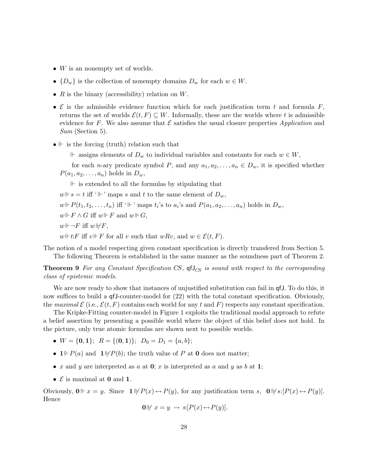- $W$  is an nonempty set of worlds.
- $\{D_w\}$  is the collection of nonempty domains  $D_w$  for each  $w \in W$ .
- $R$  is the binary (accessibility) relation on  $W$ .
- $\mathcal E$  is the admissible evidence function which for each justification term t and formula  $F$ , returns the set of worlds  $\mathcal{E}(t, F) \subseteq W$ . Informally, these are the worlds where t is admissible evidence for F. We also assume that  $\mathcal E$  satisfies the usual closure properties *Application* and Sum (Section 5).
- $\bullet \Vdash$  is the forcing (truth) relation such that
	- $\vdash$  assigns elements of  $D_w$  to individual variables and constants for each  $w \in W$ ,

for each n-ary predicate symbol P, and any  $a_1, a_2, \ldots, a_n \in D_w$ , it is specified whether  $P(a_1, a_2, \ldots, a_n)$  holds in  $D_w$ ,

 $\mathbb{I}$  is extended to all the formulas by stipulating that

 $w \Vdash s = t$  iff ' $\Vdash$ ' maps s and t to the same element of  $D_w$ ,

 $w \Vdash P(t_1, t_2, \ldots, t_n)$  iff ' $\Vdash$ ' maps  $t_i$ 's to  $a_i$ 's and  $P(a_1, a_2, \ldots, a_n)$  holds in  $D_w$ ,

 $w \Vdash F \wedge G$  iff  $w \Vdash F$  and  $w \Vdash G$ ,

 $w \Vdash \neg F$  iff  $w \Vdash F$ ,

 $w \Vdash t$ : F iff  $v \Vdash F$  for all v such that  $w R v$ , and  $w \in \mathcal{E}(t, F)$ .

The notion of a model respecting given constant specification is directly transfered from Section 5. The following Theorem is established in the same manner as the soundness part of Theorem 2.

**Theorem 9** For any Constant Specification CS,  $qf_{CS}$  is sound with respect to the corresponding class of epistemic models.

We are now ready to show that instances of unjustified substitution can fail in  $qfJ$ . To do this, it now suffices to build a qfJ-counter-model for (22) with the total constant specification. Obviously, the maximal  $\mathcal E$  (i.e.,  $\mathcal E(t, F)$  contains each world for any t and F) respects any constant specification.

The Kripke-Fitting counter-model in Figure 1 exploits the traditional modal approach to refute a belief assertion by presenting a possible world where the object of this belief does not hold. In the picture, only true atomic formulas are shown next to possible worlds.

- $W = \{0, 1\}; R = \{(0, 1)\}; D_0 = D_1 = \{a, b\};$
- $1 \Vdash P(a)$  and  $1 \Vdash P(b)$ ; the truth value of P at 0 does not matter;
- x and y are interpreted as a at 0; x is interpreted as a and y as b at 1;
- $\mathcal E$  is maximal at 0 and 1.

Obviously,  $\mathbf{0} \Vdash x = y$ . Since  $\mathbf{1} \Vdash P(x) \leftrightarrow P(y)$ , for any justification term s,  $\mathbf{0} \Vdash s: [P(x) \leftrightarrow P(y)]$ . Hence

$$
0 \,\forall x = y \rightarrow s:[P(x) \leftrightarrow P(y)].
$$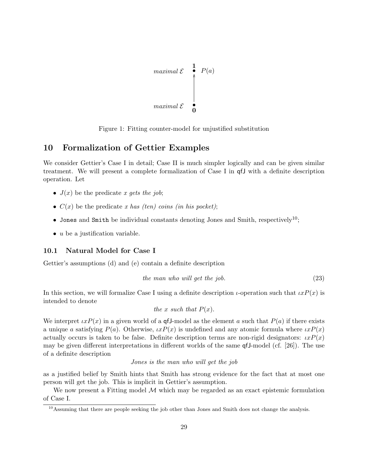$$
\begin{array}{ccc}\nmaximal \ \mathcal{E} & \begin{matrix}\n\mathbf{1} & P(a) \\
\bullet & P(a)\n\end{matrix}\n\end{array}
$$
\n
$$
\begin{array}{c}\nmaximal \ \mathcal{E} & \begin{matrix}\n\bullet & \bullet \\
\bullet & 0\n\end{matrix}\n\end{array}
$$

Figure 1: Fitting counter-model for unjustified substitution

## 10 Formalization of Gettier Examples

We consider Gettier's Case I in detail; Case II is much simpler logically and can be given similar treatment. We will present a complete formalization of Case I in qfJ with a definite description operation. Let

- $J(x)$  be the predicate x gets the job;
- $C(x)$  be the predicate x has (ten) coins (in his pocket);
- $\bullet$  Jones and Smith be individual constants denoting Jones and Smith, respectively<sup>10</sup>;
- $\bullet$  *u* be a justification variable.

## 10.1 Natural Model for Case I

Gettier's assumptions (d) and (e) contain a definite description

$$
the man who will get the job. \tag{23}
$$

In this section, we will formalize Case I using a definite description *ι*-operation such that  $\iota xP(x)$  is intended to denote

the x such that 
$$
P(x)
$$
.

We interpret  $\iota xP(x)$  in a given world of a qfJ-model as the element a such that  $P(a)$  if there exists a unique a satisfying  $P(a)$ . Otherwise,  $\iota x P(x)$  is undefined and any atomic formula where  $\iota x P(x)$ actually occurs is taken to be false. Definite description terms are non-rigid designators:  $\iota x P(x)$ may be given different interpretations in different worlds of the same qfJ-model (cf. [26]). The use of a definite description

#### Jones is the man who will get the job

as a justified belief by Smith hints that Smith has strong evidence for the fact that at most one person will get the job. This is implicit in Gettier's assumption.

We now present a Fitting model  $M$  which may be regarded as an exact epistemic formulation of Case I.

 $10$ Assuming that there are people seeking the job other than Jones and Smith does not change the analysis.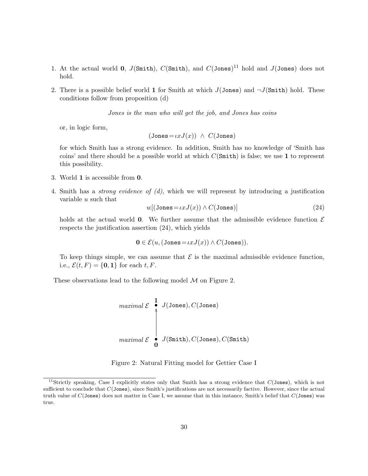- 1. At the actual world 0,  $J(\text{Smith})$ ,  $C(\text{Smith})$ , and  $C(\text{Jones})^{11}$  hold and  $J(\text{Jones})$  does not hold.
- 2. There is a possible belief world 1 for Smith at which  $J(\text{Jones})$  and  $\neg J(\text{Smith})$  hold. These conditions follow from proposition (d)

Jones is the man who will get the job, and Jones has coins

or, in logic form,

$$
(\texttt{Jones} = \iota x J(x)) \ \wedge \ C(\texttt{Jones})
$$

for which Smith has a strong evidence. In addition, Smith has no knowledge of 'Smith has coins' and there should be a possible world at which  $C(\text{Smith})$  is false; we use 1 to represent this possibility.

- 3. World 1 is accessible from 0.
- 4. Smith has a *strong evidence of (d)*, which we will represent by introducing a justification variable u such that

$$
u:[(\text{Jones} = \iota x J(x)) \land C(\text{Jones})]
$$
\n(24)

holds at the actual world 0. We further assume that the admissible evidence function  $\mathcal E$ respects the justification assertion (24), which yields

$$
\mathbf{0} \in \mathcal{E}(u, (\text{Jones} = \iota x J(x)) \land C(\text{Jones})).
$$

To keep things simple, we can assume that  $\mathcal E$  is the maximal admissible evidence function, i.e.,  $\mathcal{E}(t, F) = \{0, 1\}$  for each t, F.

These observations lead to the following model  $M$  on Figure 2.

$$
\begin{array}{ccc}\nmaximal \ \mathcal{E} & \begin{matrix}\n\bullet & J(\text{Jones}), C(\text{Jones}) \\
\bullet & J(\text{Smith}), C(\text{Jones}), C(\text{Smith})\n\end{matrix}\n\end{array}
$$
\n
$$
maximal \ \mathcal{E} & \begin{matrix}\n\bullet & J(\text{Smith}), C(\text{Jones}), C(\text{Smith})\n\end{matrix}
$$

Figure 2: Natural Fitting model for Gettier Case I

<sup>&</sup>lt;sup>11</sup>Strictly speaking, Case I explicitly states only that Smith has a strong evidence that  $C(\text{Jones})$ , which is not sufficient to conclude that  $C(\text{Jones})$ , since Smith's justifications are not necessarily factive. However, since the actual truth value of  $C(\text{Jones})$  does not matter in Case I, we assume that in this instance, Smith's belief that  $C(\text{Jones})$  was true.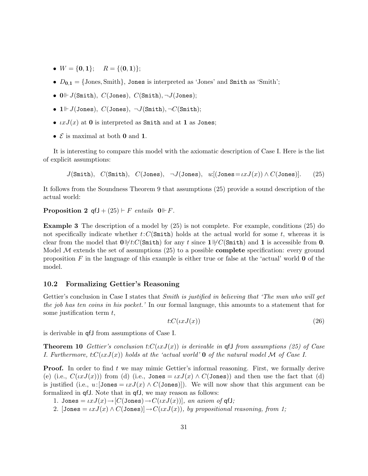- $W = \{0, 1\}; \quad R = \{(0, 1)\};$
- $D_{0,1} = \{\text{Jones}, \text{Smith}\}, \text{Jones is interpreted as 'Jones' and Smith as 'Smith'; }$
- $0 \Vdash J(\text{Smith}), C(\text{Jones}), C(\text{Smith}), \neg J(\text{Jones});$
- $1 \Vdash J(\text{Jones}), C(\text{Jones}), \neg J(\text{Smith}), \neg C(\text{Smith});$
- $\iota x J(x)$  at 0 is interpreted as Smith and at 1 as Jones;
- $\mathcal E$  is maximal at both 0 and 1.

It is interesting to compare this model with the axiomatic description of Case I. Here is the list of explicit assumptions:

$$
J(\mathtt{Smith}),\hspace{10pt} C(\mathtt{Smith}),\hspace{10pt} C(\mathtt{Jones}),\hspace{10pt}\lnot J(\mathtt{Jones}),\hspace{10pt} u.[(\mathtt{Jones}= \iota x J(x)) \wedge C(\mathtt{Jones})].\hspace{10pt}(25)
$$

It follows from the Soundness Theorem 9 that assumptions (25) provide a sound description of the actual world:

**Proposition 2** qfJ + (25)  $\vdash$  F entails 0  $\vdash$  F.

Example 3 The description of a model by (25) is not complete. For example, conditions (25) do not specifically indicate whether  $t: C(\text{Smith})$  holds at the actual world for some t, whereas it is clear from the model that  $0 \mid \forall t$ :C(Smith) for any t since  $1 \mid \forall C$ (Smith) and 1 is accessible from 0. Model  $M$  extends the set of assumptions (25) to a possible **complete** specification: every ground proposition F in the language of this example is either true or false at the 'actual' world  $\bf{0}$  of the model.

#### 10.2 Formalizing Gettier's Reasoning

Gettier's conclusion in Case I states that Smith is justified in believing that 'The man who will get the job has ten coins in his pocket.' In our formal language, this amounts to a statement that for some justification term  $t$ ,

$$
t:C(\iota x J(x))\tag{26}
$$

is derivable in qfJ from assumptions of Case I.

**Theorem 10** Gettier's conclusion  $t:C(\iota xJ(x))$  is derivable in qtl from assumptions (25) of Case I. Furthermore,  $t:C(\iota xJ(x))$  holds at the 'actual world' **0** of the natural model M of Case I.

**Proof.** In order to find t we may mimic Gettier's informal reasoning. First, we formally derive (e) (i.e.,  $C(\iota xJ(x))$  from (d) (i.e., Jones =  $\iota xJ(x) \wedge C(\text{Jones})$ ) and then use the fact that (d) is justified (i.e.,  $u:$ [Jones =  $uxJ(x) \wedge C$ (Jones)]). We will now show that this argument can be formalized in qfJ. Note that in qfJ, we may reason as follows:

- 1. Jones =  $\iota xJ(x) \rightarrow [C(\text{Jones}) \rightarrow C(\iota xJ(x))]$ , an axiom of qfJ;
- 2. [Jones =  $\iota xJ(x) \wedge C(\text{Jones}) \rightarrow C(\iota xJ(x))$ , by propositional reasoning, from 1;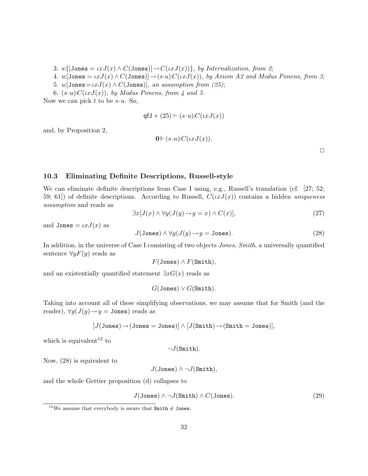3. s: $\{[\text{Jones} = \iota x J(x) \wedge C(\text{Jones})] \rightarrow C(\iota x J(x))\},$  by Internalization, from 2;

4. u:[Jones =  $\iota x J(x) \wedge C(\text{Jones}) \rightarrow (s \cdot u) : C(\iota x J(x)),$  by Axiom A2 and Modus Ponens, from 3;

- 5. u:[Jones= $\iota xJ(x) \wedge C$ (Jones)], an assumption from (25);
- 6.  $(s \cdot u)$ : $C(\iota x J(x))$ , by Modus Ponens, from 4 and 5.

Now we can pick t to be  $s \cdot u$ . So,

$$
qfJ + (25) \vdash (s \cdot u) : C(\iota x J(x))
$$

and, by Proposition 2,

$$
\mathbf{0} \mathbin{\Vdash} (s \cdot u) \mathbin{:} C(\iota x J(x)).
$$

 $\Box$ 

#### 10.3 Eliminating Definite Descriptions, Russell-style

We can eliminate definite descriptions from Case I using, e.g., Russell's translation (cf. [27; 52; 59; 61) of definite descriptions. According to Russell,  $C(\iota xJ(x))$  contains a hidden *uniqueness* assumption and reads as

$$
\exists x [J(x) \land \forall y (J(y) \to y = x) \land C(x)], \tag{27}
$$

and Jones =  $\iota x J(x)$  as

$$
J(\text{Jones}) \land \forall y (J(y) \to y = \text{Jones}).\tag{28}
$$

In addition, in the universe of Case I consisting of two objects Jones, Smith, a universally quantified sentence  $\forall y F(y)$  reads as

 $F(\text{Jones}) \wedge F(\text{Smith})$ ,

and an existentially quantified statement  $\exists x G(x)$  reads as

 $G(\text{Jones}) \vee G(\text{Smith})$ .

Taking into account all of these simplifying observations, we may assume that for Smith (and the reader),  $\forall y(J(y) \rightarrow y = \text{Jones})$  reads as

$$
[J(\texttt{Jones})\!\rightarrow\!(\texttt{Jones}=\texttt{Jones})]\wedge [J(\texttt{Smith})\!\rightarrow\!(\texttt{Smith}=\texttt{Jones})],
$$

which is equivalent<sup>12</sup> to

$$
\neg J(\mathtt{Smith}).
$$

Now, (28) is equivalent to

 $J(\text{Jones}) \wedge \neg J(\text{Smith})$ ,

and the whole Gettier proposition (d) collapses to

$$
J(\text{Jones}) \land \neg J(\text{Smith}) \land C(\text{Jones}). \tag{29}
$$

<sup>&</sup>lt;sup>12</sup>We assume that everybody is aware that  $\text{Smith} \neq \text{Jones}$ .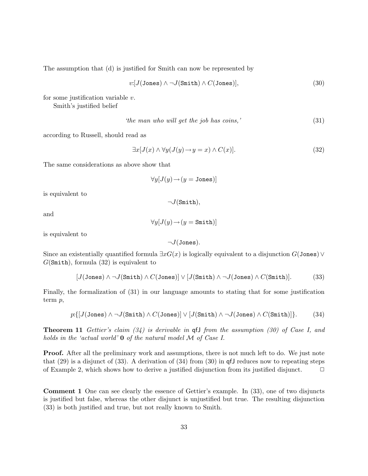The assumption that (d) is justified for Smith can now be represented by

$$
v:[J(\text{Jones}) \wedge \neg J(\text{Smith}) \wedge C(\text{Jones})],\tag{30}
$$

for some justification variable  $v$ .

Smith's justified belief

$$
the man who will get the job has coins,\tag{31}
$$

according to Russell, should read as

$$
\exists x [J(x) \land \forall y (J(y) \to y = x) \land C(x)]. \tag{32}
$$

The same considerations as above show that

$$
\forall y[J(y) \mathbin{\rightarrow} (y = \mathtt{Jones})]
$$

is equivalent to

$$
\neg J(\mathtt{Smith}),
$$

and

$$
\forall y[J(y) \rightarrow (y = \mathtt{Smith})]
$$

is equivalent to

$$
\neg J(\mathtt{Jones}).
$$

Since an existentially quantified formula  $\exists xG(x)$  is logically equivalent to a disjunction  $G(\text{Jones}) \vee$  $G(\text{Smith})$ , formula (32) is equivalent to

$$
[J(\texttt{Jones})\wedge\neg J(\texttt{Smith})\wedge C(\texttt{Jones})] \vee [J(\texttt{Smith})\wedge\neg J(\texttt{Jones})\wedge C(\texttt{Smith})].\tag{33}
$$

Finally, the formalization of (31) in our language amounts to stating that for some justification term p,

$$
p:\{[J(\text{Jones}) \land \neg J(\text{Smith}) \land C(\text{Jones})] \lor [J(\text{Smith}) \land \neg J(\text{Jones}) \land C(\text{Smith})]\}.
$$
 (34)

**Theorem 11** Gettier's claim  $(34)$  is derivable in  $\mathfrak{af}$  from the assumption  $(30)$  of Case I, and holds in the 'actual world' **0** of the natural model M of Case I.

Proof. After all the preliminary work and assumptions, there is not much left to do. We just note that  $(29)$  is a disjunct of  $(33)$ . A derivation of  $(34)$  from  $(30)$  in  $\mathfrak{q}f$  reduces now to repeating steps of Example 2, which shows how to derive a justified disjunction from its justified disjunct.  $\Box$ 

Comment 1 One can see clearly the essence of Gettier's example. In (33), one of two disjuncts is justified but false, whereas the other disjunct is unjustified but true. The resulting disjunction (33) is both justified and true, but not really known to Smith.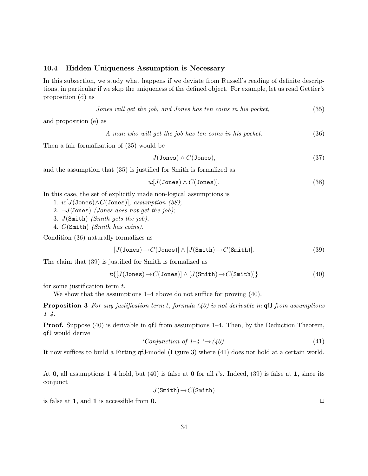#### 10.4 Hidden Uniqueness Assumption is Necessary

In this subsection, we study what happens if we deviate from Russell's reading of definite descriptions, in particular if we skip the uniqueness of the defined object. For example, let us read Gettier's proposition (d) as

Jones will get the job, and Jones has ten coins in his pocket, 
$$
(35)
$$

and proposition (e) as

A man who will get the job has ten coins in his pocket. (36)

Then a fair formalization of (35) would be

$$
J(\text{Jones}) \land C(\text{Jones}),\tag{37}
$$

and the assumption that (35) is justified for Smith is formalized as

$$
w[J(\text{Jones}) \wedge C(\text{Jones})]. \tag{38}
$$

In this case, the set of explicitly made non-logical assumptions is

- 1. u: $[J(\text{Jones}) \wedge C(\text{Jones})]$ , assumption (38);
- 2.  $\neg J(\text{Jones})$  (Jones does not get the job);
- 3.  $J(\text{Smith})$  (Smith gets the job);
- 4. C(Smith) (Smith has coins).

Condition (36) naturally formalizes as

$$
[J(\text{Jones}) \to C(\text{Jones})] \land [J(\text{Smith}) \to C(\text{Smith})]. \tag{39}
$$

The claim that (39) is justified for Smith is formalized as

$$
t:\{[J(\text{Jones}) \to C(\text{Jones})] \land [J(\text{Smith}) \to C(\text{Smith})]\}\tag{40}
$$

for some justification term  $t$ .

We show that the assumptions  $1-4$  above do not suffice for proving  $(40)$ .

**Proposition 3** For any justification term t, formula  $(40)$  is not derivable in  $qf$  from assumptions  $1-\frac{1}{4}$ .

**Proof.** Suppose (40) is derivable in **qfJ** from assumptions 1–4. Then, by the Deduction Theorem, qfJ would derive

$$
"Conjunction of 1-4" \rightarrow (40). \tag{41}
$$

It now suffices to build a Fitting qfJ-model (Figure 3) where (41) does not hold at a certain world.

At  $0$ , all assumptions 1–4 hold, but (40) is false at  $0$  for all t's. Indeed, (39) is false at 1, since its conjunct

 $J(\text{Smith})\rightarrow C(\text{Smith})$ 

is false at 1, and 1 is accessible from 0.  $\Box$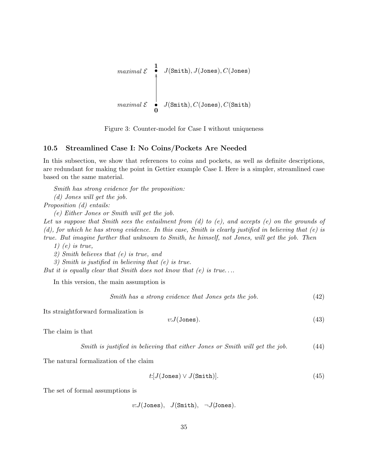$$
\begin{array}{ccc}\nmaximal \ \mathcal{E} & \begin{array}{c}\n\bullet \\
\bullet \\
\bullet \\
\end{array}\n\end{array}\nJ(\text{Smith}), J(\text{Jones}), C(\text{Jones}) \\
\nmaximal \ \mathcal{E} & \begin{array}{c}\n\bullet \\
\bullet \\
\bullet \\
\end{array}\nJ(\text{Smith}), C(\text{Jones}), C(\text{Smith})\n\end{array}
$$

Figure 3: Counter-model for Case I without uniqueness

#### 10.5 Streamlined Case I: No Coins/Pockets Are Needed

In this subsection, we show that references to coins and pockets, as well as definite descriptions, are redundant for making the point in Gettier example Case I. Here is a simpler, streamlined case based on the same material.

Smith has strong evidence for the proposition: (d) Jones will get the job.

Proposition (d) entails:

(e) Either Jones or Smith will get the job.

Let us suppose that Smith sees the entailment from  $(d)$  to  $(e)$ , and accepts  $(e)$  on the grounds of  $(d)$ , for which he has strong evidence. In this case, Smith is clearly justified in believing that  $(e)$  is true. But imagine further that unknown to Smith, he himself, not Jones, will get the job. Then

1) (e) is true,

2) Smith believes that (e) is true, and

3) Smith is justified in believing that (e) is true.

But it is equally clear that Smith does not know that  $(e)$  is true....

In this version, the main assumption is

Smith has a strong evidence that Jones gets the job. 
$$
(42)
$$

Its straightforward formalization is

$$
v:J(\text{Jones}).\tag{43}
$$

The claim is that

Smith is justified in believing that either Jones or Smith will get the job.  $(44)$ 

The natural formalization of the claim

$$
t:[J(\text{Jones}) \vee J(\text{Smith})].\tag{45}
$$

The set of formal assumptions is

$$
v:J(\text{Jones}), J(\text{Smith}), \neg J(\text{Jones}).
$$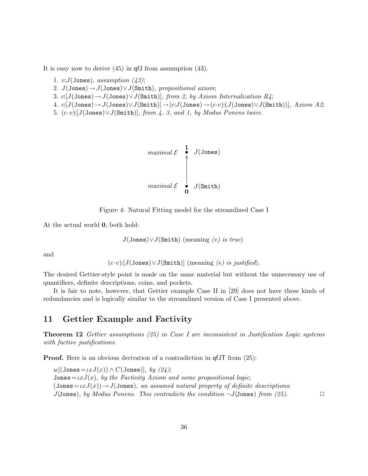It is easy now to derive (45) in qfJ from assumption (43).

- 1. v: $J(\text{Jones})$ , assumption (43);
- 2.  $J(\text{Jones}) \rightarrow J(\text{Jones}) \vee J(\text{Smith})$ , propositional axiom;
- 3. c: $[J(\text{Jones}) \rightarrow J(\text{Jones}) \vee J(\text{Smith})]$ , from 2, by Axiom Internalization R4;
- $4. \ c[J(J\text{Jones}) \rightarrow J(\text{Jones}) \vee J(\text{Smith})] \rightarrow [v:J(\text{Jones}) \rightarrow (c \cdot v):(J(\text{Jones}) \vee J(\text{Smith}))],$  Axiom A2;
- 5.  $(c \cdot v)$ : [J(Jones)∨J(Smith)], from 4, 3, and 1, by Modus Ponens twice.

$$
\begin{array}{ccc}\nmaximal \ \mathcal{E} & \begin{matrix}\n\mathbf{1} & J(\mathit{Jones}) \\
\mathbf{0}\n\end{matrix}\n\end{array}
$$
\n
$$
\begin{array}{ccc}\nmaximal \ \mathcal{E} & \begin{matrix}\n\mathbf{0} & J(\mathit{Smith}) \\
\mathbf{0} & J(\mathit{Smith})\n\end{matrix}\n\end{array}
$$

Figure 4: Natural Fitting model for the streamlined Case I

At the actual world 0, both hold:

$$
J({\tt Jones})\!\vee\!J({\tt Smith})\;({\rm meaning}\,\,(e)\,\,is\,\,true)
$$

and

$$
(c \cdot v) \cdot [J(\text{Jones}) \vee J(\text{Smith})] \text{ (meaning } (e) \text{ is justified}).
$$

The desired Gettier-style point is made on the same material but without the unnecessary use of quantifiers, definite descriptions, coins, and pockets.

It is fair to note, however, that Gettier example Case II in [29] does not have these kinds of redundancies and is logically similar to the streamlined version of Case I presented above.

### 11 Gettier Example and Factivity

Theorem 12 Gettier assumptions (25) in Case I are inconsistent in Justification Logic systems with factive justifications.

Proof. Here is an obvious derivation of a contradiction in qfJT from (25):

 $u:[(\text{Jones}=\iota xJ(x)) \wedge C(\text{Jones})], by (24);$ Jones =  $\iota xJ(x)$ , by the Factivity Axiom and some propositional logic;  $(Jones = \iota x J(x)) \rightarrow J(Jones)$ , an assumed natural property of definite descriptions; J(Jones), by Modus Ponens. This contradicts the condition  $\neg J$ (Jones) from (25).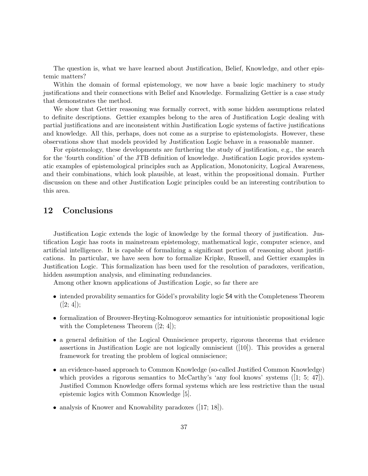The question is, what we have learned about Justification, Belief, Knowledge, and other epistemic matters?

Within the domain of formal epistemology, we now have a basic logic machinery to study justifications and their connections with Belief and Knowledge. Formalizing Gettier is a case study that demonstrates the method.

We show that Gettier reasoning was formally correct, with some hidden assumptions related to definite descriptions. Gettier examples belong to the area of Justification Logic dealing with partial justifications and are inconsistent within Justification Logic systems of factive justifications and knowledge. All this, perhaps, does not come as a surprise to epistemologists. However, these observations show that models provided by Justification Logic behave in a reasonable manner.

For epistemology, these developments are furthering the study of justification, e.g., the search for the 'fourth condition' of the JTB definition of knowledge. Justification Logic provides systematic examples of epistemological principles such as Application, Monotonicity, Logical Awareness, and their combinations, which look plausible, at least, within the propositional domain. Further discussion on these and other Justification Logic principles could be an interesting contribution to this area.

## 12 Conclusions

Justification Logic extends the logic of knowledge by the formal theory of justification. Justification Logic has roots in mainstream epistemology, mathematical logic, computer science, and artificial intelligence. It is capable of formalizing a significant portion of reasoning about justifications. In particular, we have seen how to formalize Kripke, Russell, and Gettier examples in Justification Logic. This formalization has been used for the resolution of paradoxes, verification, hidden assumption analysis, and eliminating redundancies.

Among other known applications of Justification Logic, so far there are

- intended provability semantics for Gödel's provability logic S4 with the Completeness Theorem  $(|2; 4|);$
- formalization of Brouwer-Heyting-Kolmogorov semantics for intuitionistic propositional logic with the Completeness Theorem  $(|2; 4|);$
- a general definition of the Logical Omniscience property, rigorous theorems that evidence assertions in Justification Logic are not logically omniscient ([10]). This provides a general framework for treating the problem of logical omniscience;
- an evidence-based approach to Common Knowledge (so-called Justified Common Knowledge) which provides a rigorous semantics to McCarthy's 'any fool knows' systems  $([1; 5; 47])$ . Justified Common Knowledge offers formal systems which are less restrictive than the usual epistemic logics with Common Knowledge [5].
- analysis of Knower and Knowability paradoxes ([17; 18]).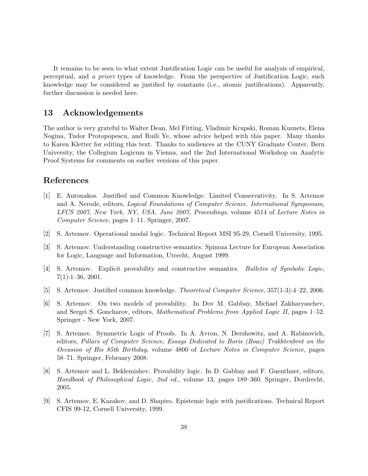It remains to be seen to what extent Justification Logic can be useful for analysis of empirical, perceptual, and a priori types of knowledge. From the perspective of Justification Logic, such knowledge may be considered as justified by constants (i.e., atomic justifications). Apparently, further discussion is needed here.

## 13 Acknowledgements

The author is very grateful to Walter Dean, Mel Fitting, Vladimir Krupski, Roman Kuznets, Elena Nogina, Tudor Protopopescu, and Ruili Ye, whose advice helped with this paper. Many thanks to Karen Kletter for editing this text. Thanks to audiences at the CUNY Graduate Center, Bern University, the Collegium Logicum in Vienna, and the 2nd International Workshop on Analytic Proof Systems for comments on earlier versions of this paper.

## References

- [1] E. Antonakos. Justified and Common Knowledge: Limited Conservativity. In S. Artemov and A. Nerode, editors, Logical Foundations of Computer Science. International Symposium, LFCS 2007, New York, NY, USA, June 2007, Proceedings, volume 4514 of Lecture Notes in Computer Science, pages 1–11. Springer, 2007.
- [2] S. Artemov. Operational modal logic. Technical Report MSI 95-29, Cornell University, 1995.
- [3] S. Artemov. Understanding constructive semantics. Spinoza Lecture for European Association for Logic, Language and Information, Utrecht, August 1999.
- [4] S. Artemov. Explicit provability and constructive semantics. Bulletin of Symbolic Logic, 7(1):1–36, 2001.
- [5] S. Artemov. Justified common knowledge. Theoretical Computer Science, 357(1-3):4–22, 2006.
- [6] S. Artemov. On two models of provability. In Dov M. Gabbay, Michael Zakharyaschev, and Sergei S. Goncharov, editors, Mathematical Problems from Applied Logic II, pages 1–52. Springer - New York, 2007.
- [7] S. Artemov. Symmetric Logic of Proofs. In A. Avron, N. Dershowitz, and A. Rabinovich, editors, Pillars of Computer Science, Essays Dedicated to Boris (Boaz) Trakhtenbrot on the Occasion of His 85th Birthday, volume 4800 of Lecture Notes in Computer Science, pages 58–71. Springer, February 2008.
- [8] S. Artemov and L. Beklemishev. Provability logic. In D. Gabbay and F. Guenthner, editors, Handbook of Philosophical Logic, 2nd ed., volume 13, pages 189–360. Springer, Dordrecht, 2005.
- [9] S. Artemov, E. Kazakov, and D. Shapiro. Epistemic logic with justifications. Technical Report CFIS 99-12, Cornell University, 1999.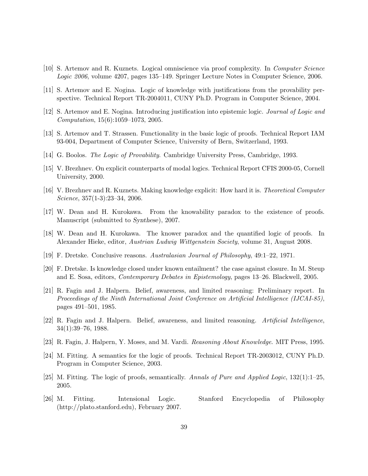- [10] S. Artemov and R. Kuznets. Logical omniscience via proof complexity. In Computer Science Logic 2006, volume 4207, pages 135–149. Springer Lecture Notes in Computer Science, 2006.
- [11] S. Artemov and E. Nogina. Logic of knowledge with justifications from the provability perspective. Technical Report TR-2004011, CUNY Ph.D. Program in Computer Science, 2004.
- [12] S. Artemov and E. Nogina. Introducing justification into epistemic logic. Journal of Logic and Computation, 15(6):1059–1073, 2005.
- [13] S. Artemov and T. Strassen. Functionality in the basic logic of proofs. Technical Report IAM 93-004, Department of Computer Science, University of Bern, Switzerland, 1993.
- [14] G. Boolos. The Logic of Provability. Cambridge University Press, Cambridge, 1993.
- [15] V. Brezhnev. On explicit counterparts of modal logics. Technical Report CFIS 2000-05, Cornell University, 2000.
- [16] V. Brezhnev and R. Kuznets. Making knowledge explicit: How hard it is. Theoretical Computer Science, 357(1-3):23–34, 2006.
- [17] W. Dean and H. Kurokawa. From the knowability paradox to the existence of proofs. Manuscript (submitted to Synthese), 2007.
- [18] W. Dean and H. Kurokawa. The knower paradox and the quantified logic of proofs. In Alexander Hieke, editor, Austrian Ludwig Wittgenstein Society, volume 31, August 2008.
- [19] F. Dretske. Conclusive reasons. Australasian Journal of Philosophy, 49:1–22, 1971.
- [20] F. Dretske. Is knowledge closed under known entailment? the case against closure. In M. Steup and E. Sosa, editors, Contemporary Debates in Epistemology, pages 13–26. Blackwell, 2005.
- [21] R. Fagin and J. Halpern. Belief, awareness, and limited reasoning: Preliminary report. In Proceedings of the Ninth International Joint Conference on Artificial Intelligence (IJCAI-85), pages 491–501, 1985.
- [22] R. Fagin and J. Halpern. Belief, awareness, and limited reasoning. Artificial Intelligence, 34(1):39–76, 1988.
- [23] R. Fagin, J. Halpern, Y. Moses, and M. Vardi. Reasoning About Knowledge. MIT Press, 1995.
- [24] M. Fitting. A semantics for the logic of proofs. Technical Report TR-2003012, CUNY Ph.D. Program in Computer Science, 2003.
- [25] M. Fitting. The logic of proofs, semantically. Annals of Pure and Applied Logic, 132(1):1–25, 2005.
- [26] M. Fitting. Intensional Logic. Stanford Encyclopedia of Philosophy (http://plato.stanford.edu), February 2007.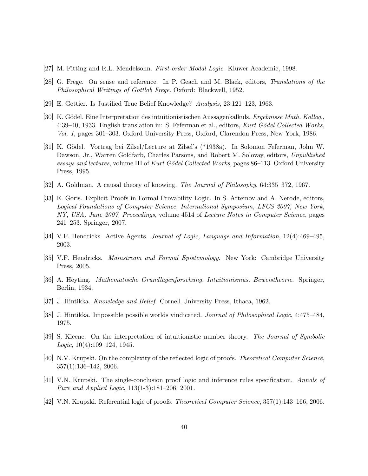- [27] M. Fitting and R.L. Mendelsohn. First-order Modal Logic. Kluwer Academic, 1998.
- [28] G. Frege. On sense and reference. In P. Geach and M. Black, editors, Translations of the Philosophical Writings of Gottlob Frege. Oxford: Blackwell, 1952.
- [29] E. Gettier. Is Justified True Belief Knowledge? Analysis, 23:121–123, 1963.
- [30] K. Gödel. Eine Interpretation des intuitionistischen Aussagenkalkuls. Ergebnisse Math. Kolloq., 4:39–40, 1933. English translation in: S. Feferman et al., editors, Kurt Gödel Collected Works, Vol. 1, pages 301–303. Oxford University Press, Oxford, Clarendon Press, New York, 1986.
- [31] K. G¨odel. Vortrag bei Zilsel/Lecture at Zilsel's (\*1938a). In Solomon Feferman, John W. Dawson, Jr., Warren Goldfarb, Charles Parsons, and Robert M. Solovay, editors, Unpublished essays and lectures, volume III of Kurt Gödel Collected Works, pages 86–113. Oxford University Press, 1995.
- [32] A. Goldman. A causal theory of knowing. The Journal of Philosophy, 64:335–372, 1967.
- [33] E. Goris. Explicit Proofs in Formal Provability Logic. In S. Artemov and A. Nerode, editors, Logical Foundations of Computer Science. International Symposium, LFCS 2007, New York, NY, USA, June 2007, Proceedings, volume 4514 of Lecture Notes in Computer Science, pages 241–253. Springer, 2007.
- [34] V.F. Hendricks. Active Agents. Journal of Logic, Language and Information, 12(4):469–495, 2003.
- [35] V.F. Hendricks. Mainstream and Formal Epistemology. New York: Cambridge University Press, 2005.
- [36] A. Heyting. Mathematische Grundlagenforschung. Intuitionismus. Beweistheorie. Springer, Berlin, 1934.
- [37] J. Hintikka. Knowledge and Belief. Cornell University Press, Ithaca, 1962.
- [38] J. Hintikka. Impossible possible worlds vindicated. Journal of Philosophical Logic, 4:475–484, 1975.
- [39] S. Kleene. On the interpretation of intuitionistic number theory. The Journal of Symbolic Logic, 10(4):109–124, 1945.
- [40] N.V. Krupski. On the complexity of the reflected logic of proofs. Theoretical Computer Science, 357(1):136–142, 2006.
- [41] V.N. Krupski. The single-conclusion proof logic and inference rules specification. Annals of Pure and Applied Logic, 113(1-3):181–206, 2001.
- [42] V.N. Krupski. Referential logic of proofs. Theoretical Computer Science, 357(1):143–166, 2006.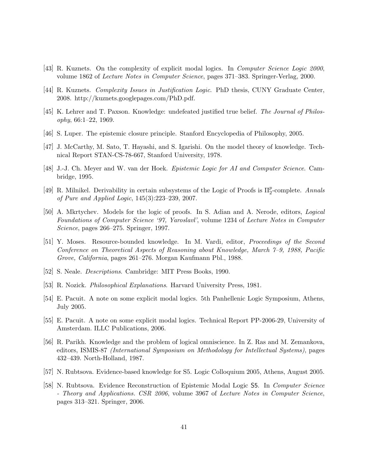- [43] R. Kuznets. On the complexity of explicit modal logics. In Computer Science Logic 2000, volume 1862 of Lecture Notes in Computer Science, pages 371–383. Springer-Verlag, 2000.
- [44] R. Kuznets. Complexity Issues in Justification Logic. PhD thesis, CUNY Graduate Center, 2008. http://kuznets.googlepages.com/PhD.pdf.
- [45] K. Lehrer and T. Paxson. Knowledge: undefeated justified true belief. The Journal of Philosophy, 66:1–22, 1969.
- [46] S. Luper. The epistemic closure principle. Stanford Encyclopedia of Philosophy, 2005.
- [47] J. McCarthy, M. Sato, T. Hayashi, and S. Igarishi. On the model theory of knowledge. Technical Report STAN-CS-78-667, Stanford University, 1978.
- [48] J.-J. Ch. Meyer and W. van der Hoek. Epistemic Logic for AI and Computer Science. Cambridge, 1995.
- [49] R. Milnikel. Derivability in certain subsystems of the Logic of Proofs is  $\Pi_2^p$ -complete. Annals of Pure and Applied Logic, 145(3):223–239, 2007.
- [50] A. Mkrtychev. Models for the logic of proofs. In S. Adian and A. Nerode, editors, Logical Foundations of Computer Science '97, Yaroslavl', volume 1234 of Lecture Notes in Computer Science, pages 266–275. Springer, 1997.
- [51] Y. Moses. Resource-bounded knowledge. In M. Vardi, editor, Proceedings of the Second Conference on Theoretical Aspects of Reasoning about Knowledge, March 7–9, 1988, Pacific Grove, California, pages 261–276. Morgan Kaufmann Pbl., 1988.
- [52] S. Neale. Descriptions. Cambridge: MIT Press Books, 1990.
- [53] R. Nozick. Philosophical Explanations. Harvard University Press, 1981.
- [54] E. Pacuit. A note on some explicit modal logics. 5th Panhellenic Logic Symposium, Athens, July 2005.
- [55] E. Pacuit. A note on some explicit modal logics. Technical Report PP-2006-29, University of Amsterdam. ILLC Publications, 2006.
- [56] R. Parikh. Knowledge and the problem of logical omniscience. In Z. Ras and M. Zemankova, editors, ISMIS-87 (International Symposium on Methodology for Intellectual Systems), pages 432–439. North-Holland, 1987.
- [57] N. Rubtsova. Evidence-based knowledge for S5. Logic Colloquium 2005, Athens, August 2005.
- [58] N. Rubtsova. Evidence Reconstruction of Epistemic Modal Logic S5. In Computer Science - Theory and Applications. CSR 2006, volume 3967 of Lecture Notes in Computer Science, pages 313–321. Springer, 2006.